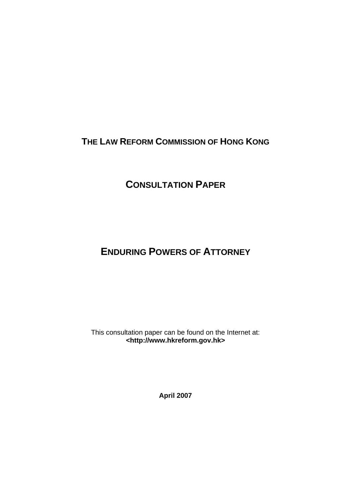**THE LAW REFORM COMMISSION OF HONG KONG** 

# **CONSULTATION PAPER**

# **ENDURING POWERS OF ATTORNEY**

This consultation paper can be found on the Internet at: **<http://www.hkreform.gov.hk>** 

**April 2007**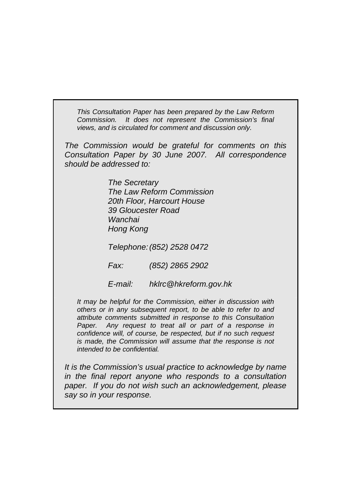*This Consultation Paper has been prepared by the Law Reform Commission. It does not represent the Commission's final views, and is circulated for comment and discussion only.* 

*The Commission would be grateful for comments on this Consultation Paper by 30 June 2007. All correspondence should be addressed to:* 

> *The Secretary The Law Reform Commission 20th Floor, Harcourt House 39 Gloucester Road Wanchai Hong Kong*

*Telephone: (852) 2528 0472* 

*Fax: (852) 2865 2902* 

*E-mail: hklrc@hkreform.gov.hk* 

*It may be helpful for the Commission, either in discussion with others or in any subsequent report, to be able to refer to and attribute comments submitted in response to this Consultation Paper. Any request to treat all or part of a response in confidence will, of course, be respected, but if no such request is made, the Commission will assume that the response is not intended to be confidential.* 

*It is the Commission's usual practice to acknowledge by name in the final report anyone who responds to a consultation paper. If you do not wish such an acknowledgement, please say so in your response.*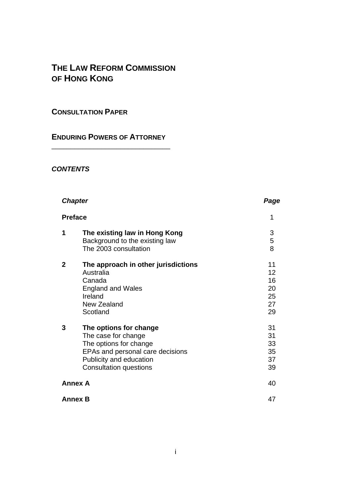## **THE LAW REFORM COMMISSION OF HONG KONG**

## **CONSULTATION PAPER**

## **ENDURING POWERS OF ATTORNEY** \_\_\_\_\_\_\_\_\_\_\_\_\_\_\_\_\_\_\_\_\_\_\_\_\_\_\_\_\_\_\_

*CONTENTS* 

|              | <b>Chapter</b>                                                                                                                                                          | Page                                   |  |
|--------------|-------------------------------------------------------------------------------------------------------------------------------------------------------------------------|----------------------------------------|--|
|              | <b>Preface</b>                                                                                                                                                          | 1                                      |  |
| 1            | The existing law in Hong Kong<br>Background to the existing law<br>The 2003 consultation                                                                                | $\frac{3}{5}$                          |  |
| $\mathbf{2}$ | The approach in other jurisdictions<br>Australia<br>Canada<br><b>England and Wales</b><br>Ireland<br>New Zealand<br>Scotland                                            | 11<br>12<br>16<br>20<br>25<br>27<br>29 |  |
| 3            | The options for change<br>The case for change<br>The options for change<br>EPAs and personal care decisions<br>Publicity and education<br><b>Consultation questions</b> | 31<br>31<br>33<br>35<br>37<br>39       |  |
|              | <b>Annex A</b>                                                                                                                                                          | 40                                     |  |
|              | <b>Annex B</b>                                                                                                                                                          | 47                                     |  |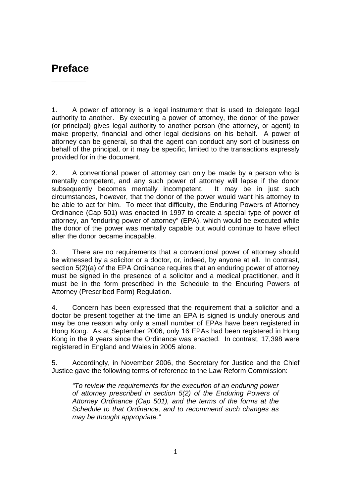## **Preface \_\_\_\_\_\_\_\_\_**

1. A power of attorney is a legal instrument that is used to delegate legal authority to another. By executing a power of attorney, the donor of the power (or principal) gives legal authority to another person (the attorney, or agent) to make property, financial and other legal decisions on his behalf. A power of attorney can be general, so that the agent can conduct any sort of business on behalf of the principal, or it may be specific, limited to the transactions expressly provided for in the document.

2. A conventional power of attorney can only be made by a person who is mentally competent, and any such power of attorney will lapse if the donor subsequently becomes mentally incompetent. It may be in just such circumstances, however, that the donor of the power would want his attorney to be able to act for him. To meet that difficulty, the Enduring Powers of Attorney Ordinance (Cap 501) was enacted in 1997 to create a special type of power of attorney, an "enduring power of attorney" (EPA), which would be executed while the donor of the power was mentally capable but would continue to have effect after the donor became incapable.

3. There are no requirements that a conventional power of attorney should be witnessed by a solicitor or a doctor, or, indeed, by anyone at all. In contrast, section 5(2)(a) of the EPA Ordinance requires that an enduring power of attorney must be signed in the presence of a solicitor and a medical practitioner, and it must be in the form prescribed in the Schedule to the Enduring Powers of Attorney (Prescribed Form) Regulation.

4. Concern has been expressed that the requirement that a solicitor and a doctor be present together at the time an EPA is signed is unduly onerous and may be one reason why only a small number of EPAs have been registered in Hong Kong. As at September 2006, only 16 EPAs had been registered in Hong Kong in the 9 years since the Ordinance was enacted. In contrast, 17,398 were registered in England and Wales in 2005 alone.

5. Accordingly, in November 2006, the Secretary for Justice and the Chief Justice gave the following terms of reference to the Law Reform Commission:

*"To review the requirements for the execution of an enduring power of attorney prescribed in section 5(2) of the Enduring Powers of Attorney Ordinance (Cap 501), and the terms of the forms at the Schedule to that Ordinance, and to recommend such changes as may be thought appropriate."*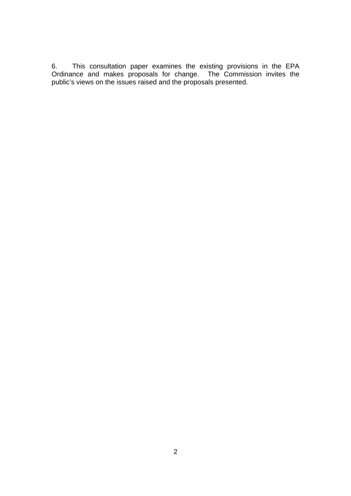6. This consultation paper examines the existing provisions in the EPA Ordinance and makes proposals for change. The Commission invites the public's views on the issues raised and the proposals presented.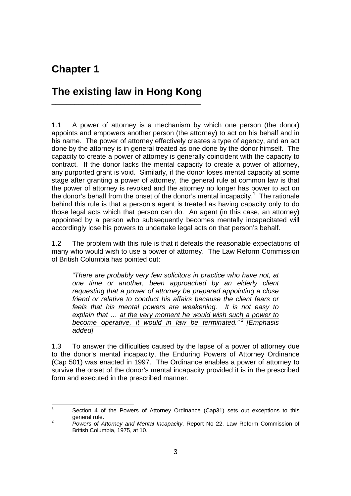# **Chapter 1**

## **The existing law in Hong Kong**  \_\_\_\_\_\_\_\_\_\_\_\_\_\_\_\_\_\_\_\_\_\_\_\_\_\_\_\_\_\_\_\_\_\_\_\_\_\_\_

1.1 A power of attorney is a mechanism by which one person (the donor) appoints and empowers another person (the attorney) to act on his behalf and in his name. The power of attorney effectively creates a type of agency, and an act done by the attorney is in general treated as one done by the donor himself. The capacity to create a power of attorney is generally coincident with the capacity to contract. If the donor lacks the mental capacity to create a power of attorney, any purported grant is void. Similarly, if the donor loses mental capacity at some stage after granting a power of attorney, the general rule at common law is that the power of attorney is revoked and the attorney no longer has power to act on the donor's behalf from the onset of the donor's mental incapacity.<sup>1</sup> The rationale behind this rule is that a person's agent is treated as having capacity only to do those legal acts which that person can do. An agent (in this case, an attorney) appointed by a person who subsequently becomes mentally incapacitated will accordingly lose his powers to undertake legal acts on that person's behalf.

1.2 The problem with this rule is that it defeats the reasonable expectations of many who would wish to use a power of attorney. The Law Reform Commission of British Columbia has pointed out:

*"There are probably very few solicitors in practice who have not, at one time or another, been approached by an elderly client requesting that a power of attorney be prepared appointing a close friend or relative to conduct his affairs because the client fears or feels that his mental powers are weakening. It is not easy to explain that … at the very moment he would wish such a power to become operative, it would in law be terminated." 2 [Emphasis added]* 

1.3 To answer the difficulties caused by the lapse of a power of attorney due to the donor's mental incapacity, the Enduring Powers of Attorney Ordinance (Cap 501) was enacted in 1997. The Ordinance enables a power of attorney to survive the onset of the donor's mental incapacity provided it is in the prescribed form and executed in the prescribed manner.

 $\frac{1}{1}$  Section 4 of the Powers of Attorney Ordinance (Cap31) sets out exceptions to this general rule.

*Powers of Attorney and Mental Incapacity*, Report No 22, Law Reform Commission of British Columbia, 1975, at 10.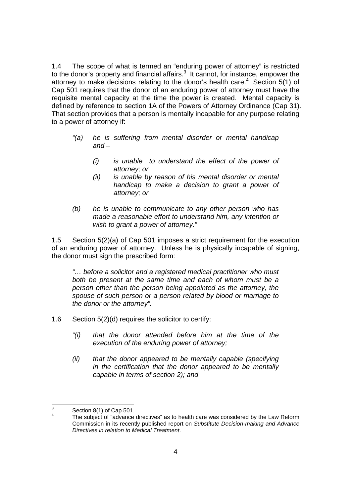1.4 The scope of what is termed an "enduring power of attorney" is restricted to the donor's property and financial affairs. $3$  It cannot, for instance, empower the attorney to make decisions relating to the donor's health care.<sup>4</sup> Section 5(1) of Cap 501 requires that the donor of an enduring power of attorney must have the requisite mental capacity at the time the power is created. Mental capacity is defined by reference to section 1A of the Powers of Attorney Ordinance (Cap 31). That section provides that a person is mentally incapable for any purpose relating to a power of attorney if:

- *"(a) he is suffering from mental disorder or mental handicap and –* 
	- *(i) is unable to understand the effect of the power of attorney; or*
	- *(ii) is unable by reason of his mental disorder or mental handicap to make a decision to grant a power of attorney; or*
- *(b) he is unable to communicate to any other person who has made a reasonable effort to understand him, any intention or wish to grant a power of attorney."*

1.5 Section 5(2)(a) of Cap 501 imposes a strict requirement for the execution of an enduring power of attorney. Unless he is physically incapable of signing, the donor must sign the prescribed form:

*"… before a solicitor and a registered medical practitioner who must both be present at the same time and each of whom must be a person other than the person being appointed as the attorney, the spouse of such person or a person related by blood or marriage to the donor or the attorney".* 

- 1.6 Section 5(2)(d) requires the solicitor to certify:
	- *"(i) that the donor attended before him at the time of the execution of the enduring power of attorney;*
	- *(ii) that the donor appeared to be mentally capable (specifying in the certification that the donor appeared to be mentally capable in terms of section 2); and*

<sup>-&</sup>lt;br>3 Section 8(1) of Cap 501. 4

The subject of "advance directives" as to health care was considered by the Law Reform Commission in its recently published report on *Substitute Decision-making and Advance Directives in relation to Medical Treatment*.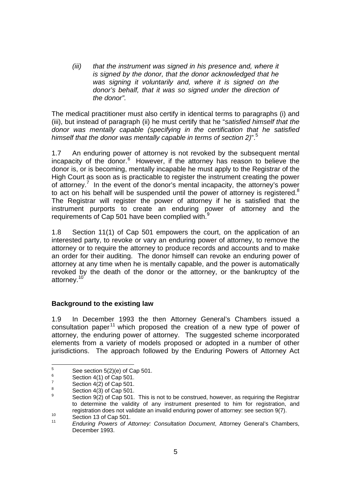*(iii) that the instrument was signed in his presence and, where it is signed by the donor, that the donor acknowledged that he was signing it voluntarily and, where it is signed on the donor's behalf, that it was so signed under the direction of the donor".* 

The medical practitioner must also certify in identical terms to paragraphs (i) and (iii), but instead of paragraph (ii) he must certify that he "*satisfied himself that the donor was mentally capable (specifying in the certification that he satisfied himself that the donor was mentally capable in terms of section 2)*".5

1.7 An enduring power of attorney is not revoked by the subsequent mental incapacity of the donor.<sup>6</sup> However, if the attorney has reason to believe the donor is, or is becoming, mentally incapable he must apply to the Registrar of the High Court as soon as is practicable to register the instrument creating the power of attorney.<sup>7</sup> In the event of the donor's mental incapacity, the attorney's power to act on his behalf will be suspended until the power of attorney is registered.<sup>8</sup> The Registrar will register the power of attorney if he is satisfied that the instrument purports to create an enduring power of attorney and the requirements of Cap 501 have been complied with.<sup>9</sup>

1.8 Section 11(1) of Cap 501 empowers the court, on the application of an interested party, to revoke or vary an enduring power of attorney, to remove the attorney or to require the attorney to produce records and accounts and to make an order for their auditing. The donor himself can revoke an enduring power of attorney at any time when he is mentally capable, and the power is automatically revoked by the death of the donor or the attorney, or the bankruptcy of the attorney.<sup>10</sup>

## **Background to the existing law**

1.9 In December 1993 the then Attorney General's Chambers issued a consultation paper<sup>11</sup> which proposed the creation of a new type of power of attorney, the enduring power of attorney. The suggested scheme incorporated elements from a variety of models proposed or adopted in a number of other jurisdictions. The approach followed by the Enduring Powers of Attorney Act

<sup>—&</sup>lt;br>5 See section 5(2)(e) of Cap 501.

<sup>6</sup> Section 4(1) of Cap 501. 7

Section  $4(2)$  of Cap 501.

<sup>8</sup> Section  $4(3)$  of Cap 501.

<sup>9</sup> Section 9(2) of Cap 501. This is not to be construed, however, as requiring the Registrar to determine the validity of any instrument presented to him for registration, and registration does not validate an invalid enduring power of attorney: see section 9(7).

registration does not validate an invalid enduring power of attorney: see section 9(7). 10 Section 13 of Cap 501. 11 *Enduring Powers of Attorney: Consultation Document*, Attorney General's Chambers, December 1993.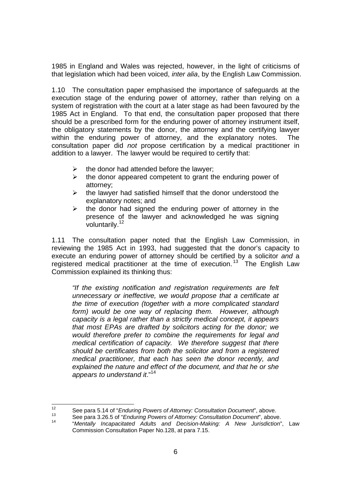1985 in England and Wales was rejected, however, in the light of criticisms of that legislation which had been voiced, *inter alia*, by the English Law Commission.

1.10 The consultation paper emphasised the importance of safeguards at the execution stage of the enduring power of attorney, rather than relying on a system of registration with the court at a later stage as had been favoured by the 1985 Act in England. To that end, the consultation paper proposed that there should be a prescribed form for the enduring power of attorney instrument itself, the obligatory statements by the donor, the attorney and the certifying lawyer within the enduring power of attorney, and the explanatory notes. The consultation paper did *not* propose certification by a medical practitioner in addition to a lawyer. The lawyer would be required to certify that:

- $\triangleright$  the donor had attended before the lawyer:
- $\triangleright$  the donor appeared competent to grant the enduring power of attorney;
- $\triangleright$  the lawyer had satisfied himself that the donor understood the explanatory notes; and
- $\triangleright$  the donor had signed the enduring power of attorney in the presence of the lawyer and acknowledged he was signing voluntarily.<sup>12</sup>

1.11 The consultation paper noted that the English Law Commission, in reviewing the 1985 Act in 1993, had suggested that the donor's capacity to execute an enduring power of attorney should be certified by a solicitor *and* a registered medical practitioner at the time of execution.<sup>13</sup> The English Law Commission explained its thinking thus:

*"If the existing notification and registration requirements are felt unnecessary or ineffective, we would propose that a certificate at the time of execution (together with a more complicated standard form) would be one way of replacing them. However, although capacity is a legal rather than a strictly medical concept, it appears that most EPAs are drafted by solicitors acting for the donor; we would therefore prefer to combine the requirements for legal and medical certification of capacity. We therefore suggest that there should be certificates from both the solicitor and from a registered medical practitioner, that each has seen the donor recently, and explained the nature and effect of the document, and that he or she appears to understand it*."<sup>14</sup>

 $12$ <sup>12</sup> See para 5.14 of "*Enduring Powers of Attorney: Consultation Document*", above.<br><sup>13</sup> See para 3.26.5 of "*Enduring Powers of Attorney: Consultation Document*", above.

<sup>13</sup> See para 3.26.5 of "*Enduring Powers of Attorney: Consultation Document*", above. 14 "*Mentally Incapacitated Adults and Decision-Making: A New Jurisdiction*", Law Commission Consultation Paper No.128, at para 7.15.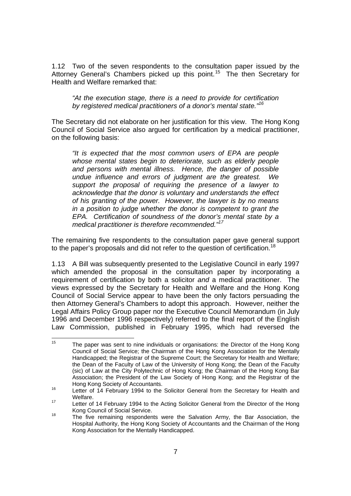1.12 Two of the seven respondents to the consultation paper issued by the Attorney General's Chambers picked up this point.<sup>15</sup> The then Secretary for Health and Welfare remarked that:

*"At the execution stage, there is a need to provide for certification by registered medical practitioners of a donor's mental state."16*

The Secretary did not elaborate on her justification for this view. The Hong Kong Council of Social Service also argued for certification by a medical practitioner, on the following basis:

*"It is expected that the most common users of EPA are people whose mental states begin to deteriorate, such as elderly people and persons with mental illness. Hence, the danger of possible undue influence and errors of judgment are the greatest. We support the proposal of requiring the presence of a lawyer to acknowledge that the donor is voluntary and understands the effect of his granting of the power. However, the lawyer is by no means in a position to judge whether the donor is competent to grant the EPA. Certification of soundness of the donor's mental state by a medical practitioner is therefore recommended."<sup>17</sup>*

The remaining five respondents to the consultation paper gave general support to the paper's proposals and did not refer to the question of certification.<sup>18</sup>

1.13 A Bill was subsequently presented to the Legislative Council in early 1997 which amended the proposal in the consultation paper by incorporating a requirement of certification by both a solicitor *and* a medical practitioner. The views expressed by the Secretary for Health and Welfare and the Hong Kong Council of Social Service appear to have been the only factors persuading the then Attorney General's Chambers to adopt this approach. However, neither the Legal Affairs Policy Group paper nor the Executive Council Memorandum (in July 1996 and December 1996 respectively) referred to the final report of the English Law Commission, published in February 1995, which had reversed the

 $15$ The paper was sent to nine individuals or organisations: the Director of the Hong Kong Council of Social Service; the Chairman of the Hong Kong Association for the Mentally Handicapped; the Registrar of the Supreme Court; the Secretary for Health and Welfare; the Dean of the Faculty of Law of the University of Hong Kong; the Dean of the Faculty (sic) of Law at the City Polytechnic of Hong Kong; the Chairman of the Hong Kong Bar Association; the President of the Law Society of Hong Kong; and the Registrar of the Hong Kong Society of Accountants.

Hong Kong Society of Accountants. 16 Letter of 14 February 1994 to the Solicitor General from the Secretary for Health and Welfare.<br><sup>17</sup> Letter of 14 February 1994 to the Acting Solicitor General from the Director of the Hong

Kong Council of Social Service.<br><sup>18</sup> The five remaining respondents were the Salvation Army, the Bar Association, the

Hospital Authority, the Hong Kong Society of Accountants and the Chairman of the Hong Kong Association for the Mentally Handicapped.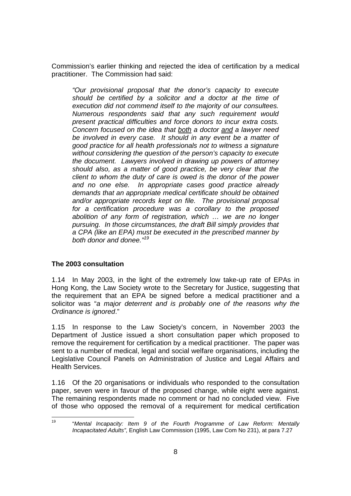Commission's earlier thinking and rejected the idea of certification by a medical practitioner. The Commission had said:

*"Our provisional proposal that the donor's capacity to execute should be certified by a solicitor and a doctor at the time of execution did not commend itself to the majority of our consultees. Numerous respondents said that any such requirement would present practical difficulties and force donors to incur extra costs. Concern focused on the idea that both a doctor and a lawyer need be involved in every case. It should in any event be a matter of good practice for all health professionals not to witness a signature without considering the question of the person's capacity to execute the document. Lawyers involved in drawing up powers of attorney should also, as a matter of good practice, be very clear that the client to whom the duty of care is owed is the donor of the power and no one else. In appropriate cases good practice already demands that an appropriate medical certificate should be obtained and/or appropriate records kept on file. The provisional proposal for a certification procedure was a corollary to the proposed abolition of any form of registration, which … we are no longer pursuing. In those circumstances, the draft Bill simply provides that a CPA (like an EPA) must be executed in the prescribed manner by both donor and donee."<sup>19</sup>*

## **The 2003 consultation**

1.14 In May 2003, in the light of the extremely low take-up rate of EPAs in Hong Kong, the Law Society wrote to the Secretary for Justice, suggesting that the requirement that an EPA be signed before a medical practitioner and a solicitor was "*a major deterrent and is probably one of the reasons why the Ordinance is ignored*."

1.15 In response to the Law Society's concern, in November 2003 the Department of Justice issued a short consultation paper which proposed to remove the requirement for certification by a medical practitioner. The paper was sent to a number of medical, legal and social welfare organisations, including the Legislative Council Panels on Administration of Justice and Legal Affairs and Health Services.

1.16 Of the 20 organisations or individuals who responded to the consultation paper, seven were in favour of the proposed change, while eight were against. The remaining respondents made no comment or had no concluded view. Five of those who opposed the removal of a requirement for medical certification

 $10<sup>1</sup>$ 19 "*Mental Incapacity: Item 9 of the Fourth Programme of Law Reform: Mentally Incapacitated Adults"*, English Law Commission (1995, Law Com No 231), at para 7.27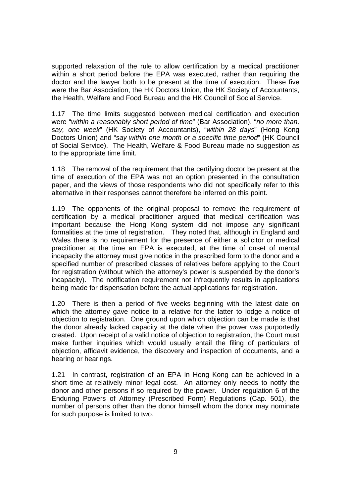supported relaxation of the rule to allow certification by a medical practitioner within a short period before the EPA was executed, rather than requiring the doctor and the lawyer both to be present at the time of execution. These five were the Bar Association, the HK Doctors Union, the HK Society of Accountants, the Health, Welfare and Food Bureau and the HK Council of Social Service.

1.17 The time limits suggested between medical certification and execution were "*within a reasonably short period of time*" (Bar Association), "*no more than, say, one week*" (HK Society of Accountants), "*within 28 days*" (Hong Kong Doctors Union) and "*say within one month or a specific time period*" (HK Council of Social Service). The Health, Welfare & Food Bureau made no suggestion as to the appropriate time limit.

1.18 The removal of the requirement that the certifying doctor be present at the time of execution of the EPA was not an option presented in the consultation paper, and the views of those respondents who did not specifically refer to this alternative in their responses cannot therefore be inferred on this point.

1.19 The opponents of the original proposal to remove the requirement of certification by a medical practitioner argued that medical certification was important because the Hong Kong system did not impose any significant formalities at the time of registration. They noted that, although in England and Wales there is no requirement for the presence of either a solicitor or medical practitioner at the time an EPA is executed, at the time of onset of mental incapacity the attorney must give notice in the prescribed form to the donor and a specified number of prescribed classes of relatives before applying to the Court for registration (without which the attorney's power is suspended by the donor's incapacity). The notification requirement not infrequently results in applications being made for dispensation before the actual applications for registration.

1.20 There is then a period of five weeks beginning with the latest date on which the attorney gave notice to a relative for the latter to lodge a notice of objection to registration. One ground upon which objection can be made is that the donor already lacked capacity at the date when the power was purportedly created. Upon receipt of a valid notice of objection to registration, the Court must make further inquiries which would usually entail the filing of particulars of objection, affidavit evidence, the discovery and inspection of documents, and a hearing or hearings.

1.21 In contrast, registration of an EPA in Hong Kong can be achieved in a short time at relatively minor legal cost. An attorney only needs to notify the donor and other persons if so required by the power. Under regulation 6 of the Enduring Powers of Attorney (Prescribed Form) Regulations (Cap. 501), the number of persons other than the donor himself whom the donor may nominate for such purpose is limited to two.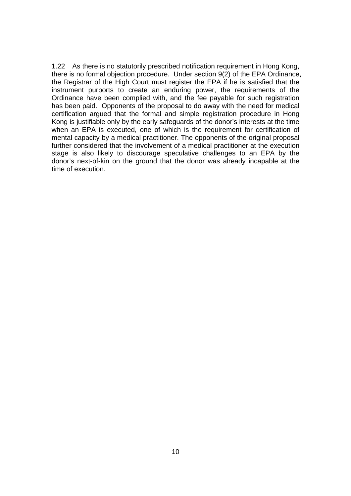1.22 As there is no statutorily prescribed notification requirement in Hong Kong, there is no formal objection procedure. Under section 9(2) of the EPA Ordinance, the Registrar of the High Court must register the EPA if he is satisfied that the instrument purports to create an enduring power, the requirements of the Ordinance have been complied with, and the fee payable for such registration has been paid. Opponents of the proposal to do away with the need for medical certification argued that the formal and simple registration procedure in Hong Kong is justifiable only by the early safeguards of the donor's interests at the time when an EPA is executed, one of which is the requirement for certification of mental capacity by a medical practitioner. The opponents of the original proposal further considered that the involvement of a medical practitioner at the execution stage is also likely to discourage speculative challenges to an EPA by the donor's next-of-kin on the ground that the donor was already incapable at the time of execution.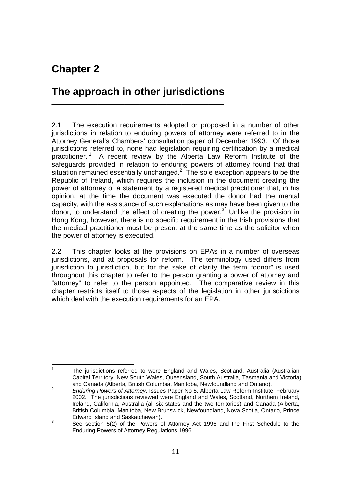# **Chapter 2**

## **The approach in other jurisdictions**  \_\_\_\_\_\_\_\_\_\_\_\_\_\_\_\_\_\_\_\_\_\_\_\_\_\_\_\_\_\_\_\_\_\_\_\_\_\_\_\_\_\_\_\_\_

2.1 The execution requirements adopted or proposed in a number of other jurisdictions in relation to enduring powers of attorney were referred to in the Attorney General's Chambers' consultation paper of December 1993. Of those jurisdictions referred to, none had legislation requiring certification by a medical practitioner.<sup>1</sup> A recent review by the Alberta Law Reform Institute of the safeguards provided in relation to enduring powers of attorney found that that situation remained essentially unchanged. $2$  The sole exception appears to be the Republic of Ireland, which requires the inclusion in the document creating the power of attorney of a statement by a registered medical practitioner that, in his opinion, at the time the document was executed the donor had the mental capacity, with the assistance of such explanations as may have been given to the donor, to understand the effect of creating the power. $3$  Unlike the provision in Hong Kong, however, there is no specific requirement in the Irish provisions that the medical practitioner must be present at the same time as the solicitor when the power of attorney is executed.

2.2 This chapter looks at the provisions on EPAs in a number of overseas jurisdictions, and at proposals for reform. The terminology used differs from jurisdiction to jurisdiction, but for the sake of clarity the term "donor" is used throughout this chapter to refer to the person granting a power of attorney and "attorney" to refer to the person appointed. The comparative review in this chapter restricts itself to those aspects of the legislation in other jurisdictions which deal with the execution requirements for an EPA.

 $\frac{1}{1}$  The jurisdictions referred to were England and Wales, Scotland, Australia (Australian Capital Territory, New South Wales, Queensland, South Australia, Tasmania and Victoria) and Canada (Alberta, British Columbia, Manitoba, Newfoundland and Ontario). 2

*Enduring Powers of Attorney*, Issues Paper No 5, Alberta Law Reform Institute, February 2002. The jurisdictions reviewed were England and Wales, Scotland, Northern Ireland, Ireland, California, Australia (all six states and the two territories) and Canada (Alberta, British Columbia, Manitoba, New Brunswick, Newfoundland, Nova Scotia, Ontario, Prince Edward Island and Saskatchewan).

See section 5(2) of the Powers of Attorney Act 1996 and the First Schedule to the Enduring Powers of Attorney Regulations 1996.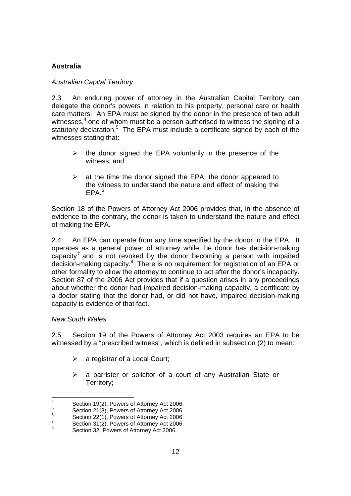## **Australia**

#### *Australian Capital Territory*

2.3 An enduring power of attorney in the Australian Capital Territory can delegate the donor's powers in relation to his property, personal care or health care matters. An EPA must be signed by the donor in the presence of two adult witnesses, $4$  one of whom must be a person authorised to witness the signing of a statutory declaration.<sup>5</sup> The EPA must include a certificate signed by each of the witnesses stating that:

- $\triangleright$  the donor signed the EPA voluntarily in the presence of the witness; and
- $\triangleright$  at the time the donor signed the EPA, the donor appeared to the witness to understand the nature and effect of making the  $FPA<sup>6</sup>$

Section 18 of the Powers of Attorney Act 2006 provides that, in the absence of evidence to the contrary, the donor is taken to understand the nature and effect of making the EPA.

2.4 An EPA can operate from any time specified by the donor in the EPA. It operates as a general power of attorney while the donor has decision-making capacity<sup>7</sup> and is not revoked by the donor becoming a person with impaired decision-making capacity.<sup>8</sup> There is no requirement for registration of an EPA or other formality to allow the attorney to continue to act after the donor's incapacity. Section 87 of the 2006 Act provides that if a question arises in any proceedings about whether the donor had impaired decision-making capacity, a certificate by a doctor stating that the donor had, or did not have, impaired decision-making capacity is evidence of that fact.

#### *New South Wales*

2.5 Section 19 of the Powers of Attorney Act 2003 requires an EPA to be witnessed by a "prescribed witness", which is defined in subsection (2) to mean:

- $\triangleright$  a registrar of a Local Court;
- $\triangleright$  a barrister or solicitor of a court of any Australian State or Territory;

 $\frac{1}{4}$  Section 19(2), Powers of Attorney Act 2006. 5

Section 21(3), Powers of Attorney Act 2006. 6

Section 22(1), Powers of Attorney Act 2006.

<sup>7</sup> Section 31(2), Powers of Attorney Act 2006.

<sup>8</sup> Section 32, Powers of Attorney Act 2006.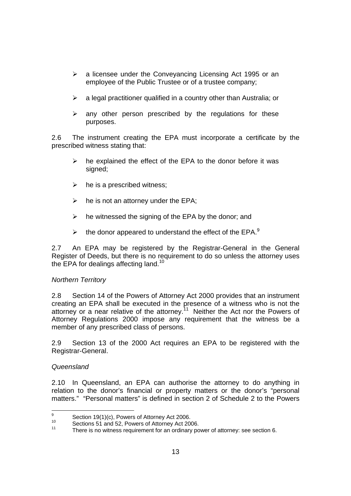- $\triangleright$  a licensee under the Conveyancing Licensing Act 1995 or an employee of the Public Trustee or of a trustee company;
- $\triangleright$  a legal practitioner qualified in a country other than Australia; or
- $\triangleright$  any other person prescribed by the regulations for these purposes.

2.6 The instrument creating the EPA must incorporate a certificate by the prescribed witness stating that:

- $\triangleright$  he explained the effect of the EPA to the donor before it was signed:
- $\triangleright$  he is a prescribed witness;
- $\triangleright$  he is not an attorney under the EPA;
- $\triangleright$  he witnessed the signing of the EPA by the donor; and
- $\triangleright$  the donor appeared to understand the effect of the EPA.<sup>9</sup>

2.7 An EPA may be registered by the Registrar-General in the General Register of Deeds, but there is no requirement to do so unless the attorney uses the EPA for dealings affecting land.<sup>10</sup>

## *Northern Territory*

2.8 Section 14 of the Powers of Attorney Act 2000 provides that an instrument creating an EPA shall be executed in the presence of a witness who is not the attorney or a near relative of the attorney.<sup>11</sup> Neither the Act nor the Powers of Attorney Regulations 2000 impose any requirement that the witness be a member of any prescribed class of persons.

2.9 Section 13 of the 2000 Act requires an EPA to be registered with the Registrar-General.

## *Queensland*

2.10 In Queensland, an EPA can authorise the attorney to do anything in relation to the donor's financial or property matters or the donor's "personal matters." "Personal matters" is defined in section 2 of Schedule 2 to the Powers

<sup>-&</sup>lt;br>9  $\frac{9}{10}$  Section 19(1)(c), Powers of Attorney Act 2006.<br>
Sections 51 and 52, Powers of Attorney Act 2006.

<sup>10</sup> Sections 51 and 52, Powers of Attorney Act 2006. 11 There is no witness requirement for an ordinary power of attorney: see section 6.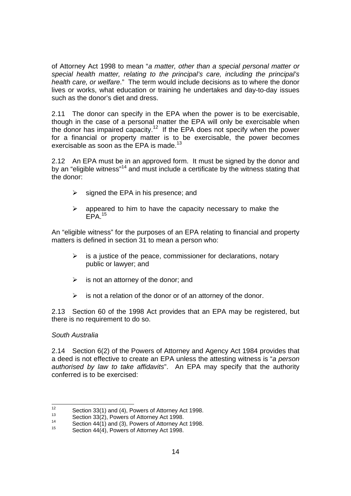of Attorney Act 1998 to mean "*a matter, other than a special personal matter or special health matter, relating to the principal's care, including the principal's health care, or welfare*." The term would include decisions as to where the donor lives or works, what education or training he undertakes and day-to-day issues such as the donor's diet and dress.

2.11 The donor can specify in the EPA when the power is to be exercisable, though in the case of a personal matter the EPA will only be exercisable when the donor has impaired capacity.<sup>12</sup> If the EPA does not specify when the power for a financial or property matter is to be exercisable, the power becomes exercisable as soon as the EPA is made.<sup>13</sup>

2.12 An EPA must be in an approved form. It must be signed by the donor and by an "eligible witness"<sup>14</sup> and must include a certificate by the witness stating that the donor:

- signed the EPA in his presence; and
- $\triangleright$  appeared to him to have the capacity necessary to make the  $EPA.<sup>15</sup>$

An "eligible witness" for the purposes of an EPA relating to financial and property matters is defined in section 31 to mean a person who:

- $\triangleright$  is a justice of the peace, commissioner for declarations, notary public or lawyer; and
- $\triangleright$  is not an attorney of the donor; and
- $\triangleright$  is not a relation of the donor or of an attorney of the donor.

2.13 Section 60 of the 1998 Act provides that an EPA may be registered, but there is no requirement to do so.

#### *South Australia*

2.14 Section 6(2) of the Powers of Attorney and Agency Act 1984 provides that a deed is not effective to create an EPA unless the attesting witness is "*a person authorised by law to take affidavits*". An EPA may specify that the authority conferred is to be exercised:

 $12<sup>12</sup>$ <sup>12</sup> Section 33(1) and (4), Powers of Attorney Act 1998.<br>
1<sup>4</sup> Section 44(1) and (3), Powers of Attorney Act 1998.<br>
14 Section 44(4), Powers of Attorney Act 1998.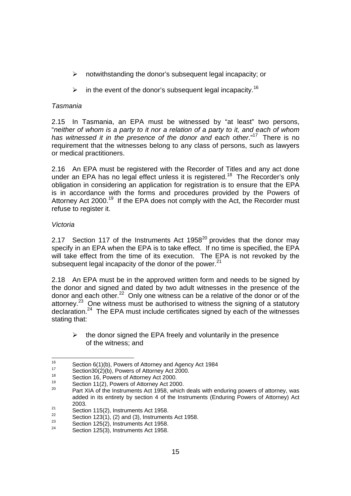- $\triangleright$  notwithstanding the donor's subsequent legal incapacity; or
- $\geq$  in the event of the donor's subsequent legal incapacity.<sup>16</sup>

## *Tasmania*

2.15 In Tasmania, an EPA must be witnessed by "at least" two persons, "*neither of whom is a party to it nor a relation of a party to it, and each of whom has witnessed it in the presence of the donor and each other*."17 There is no requirement that the witnesses belong to any class of persons, such as lawyers or medical practitioners.

2.16 An EPA must be registered with the Recorder of Titles and any act done under an EPA has no legal effect unless it is registered.<sup>18</sup> The Recorder's only obligation in considering an application for registration is to ensure that the EPA is in accordance with the forms and procedures provided by the Powers of Attorney Act 2000.<sup>19</sup> If the EPA does not comply with the Act, the Recorder must refuse to register it.

## *Victoria*

2.17 Section 117 of the Instruments Act 1958 $^{20}$  provides that the donor may specify in an EPA when the EPA is to take effect. If no time is specified, the EPA will take effect from the time of its execution. The EPA is not revoked by the subsequent legal incapacity of the donor of the power.<sup>21</sup>

2.18 An EPA must be in the approved written form and needs to be signed by the donor and signed and dated by two adult witnesses in the presence of the donor and each other.<sup>22</sup> Only one witness can be a relative of the donor or of the attorney.<sup>23</sup> One witness must be authorised to witness the signing of a statutory declaration.<sup>24</sup> The EPA must include certificates signed by each of the witnesses stating that:

 $\triangleright$  the donor signed the EPA freely and voluntarily in the presence of the witness; and

<sup>16</sup> 

<sup>&</sup>lt;sup>16</sup><br>
Section 6(1)(b), Powers of Attorney and Agency Act 1984<br>
<sup>17</sup><br>
Section 16, Powers of Attorney Act 2000.<br>
Section 11(2), Powers of Attorney Act 2000.<br>
Part XIA of the Instruments Act 1958, which deals with enduring p added in its entirety by section 4 of the Instruments (Enduring Powers of Attorney) Act 2003.<br>
21 Section 115(2), Instruments Act 1958.<br>
22 Section 123(1), (2) and (3), Instruments Act 1958.<br>
24 Section 125(3), Instruments Act 1958.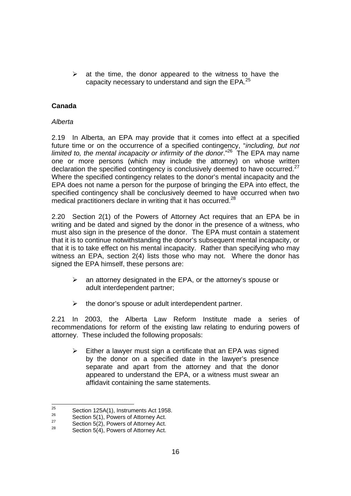$\triangleright$  at the time, the donor appeared to the witness to have the capacity necessary to understand and sign the EPA.<sup>25</sup>

## **Canada**

## *Alberta*

2.19 In Alberta, an EPA may provide that it comes into effect at a specified future time or on the occurrence of a specified contingency, "*including, but not limited to, the mental incapacity or infirmity of the donor.*"<sup>26</sup> The EPA may name one or more persons (which may include the attorney) on whose written declaration the specified contingency is conclusively deemed to have occurred.<sup>27</sup> Where the specified contingency relates to the donor's mental incapacity and the EPA does not name a person for the purpose of bringing the EPA into effect, the specified contingency shall be conclusively deemed to have occurred when two medical practitioners declare in writing that it has occurred.<sup>28</sup>

2.20 Section 2(1) of the Powers of Attorney Act requires that an EPA be in writing and be dated and signed by the donor in the presence of a witness, who must also sign in the presence of the donor. The EPA must contain a statement that it is to continue notwithstanding the donor's subsequent mental incapacity, or that it is to take effect on his mental incapacity. Rather than specifying who may witness an EPA, section 2(4) lists those who may not. Where the donor has signed the EPA himself, these persons are:

- $\triangleright$  an attorney designated in the EPA, or the attorney's spouse or adult interdependent partner;
- $\triangleright$  the donor's spouse or adult interdependent partner.

2.21 In 2003, the Alberta Law Reform Institute made a series of recommendations for reform of the existing law relating to enduring powers of attorney. These included the following proposals:

 $\triangleright$  Either a lawyer must sign a certificate that an EPA was signed by the donor on a specified date in the lawyer's presence separate and apart from the attorney and that the donor appeared to understand the EPA, or a witness must swear an affidavit containing the same statements.

 $25$ <sup>25</sup><br>
<sup>26</sup> Section 5(1), Powers of Attorney Act.<br>
<sup>27</sup> Section 5(2), Powers of Attorney Act.<br>
<sup>28</sup> Section 5(4), Powers of Attorney Act.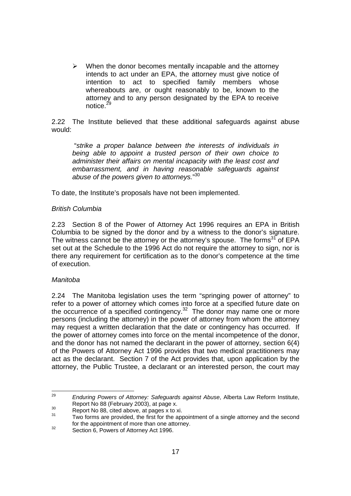$\triangleright$  When the donor becomes mentally incapable and the attorney intends to act under an EPA, the attorney must give notice of intention to act to specified family members whose whereabouts are, or ought reasonably to be, known to the attorney and to any person designated by the EPA to receive notice.29

2.22 The Institute believed that these additional safeguards against abuse would:

 "*strike a proper balance between the interests of individuals in being able to appoint a trusted person of their own choice to administer their affairs on mental incapacity with the least cost and embarrassment, and in having reasonable safeguards against abuse of the powers given to attorneys.*" 30

To date, the Institute's proposals have not been implemented.

#### *British Columbia*

2.23 Section 8 of the Power of Attorney Act 1996 requires an EPA in British Columbia to be signed by the donor and by a witness to the donor's signature. The witness cannot be the attorney or the attorney's spouse. The forms<sup>31</sup> of EPA set out at the Schedule to the 1996 Act do not require the attorney to sign, nor is there any requirement for certification as to the donor's competence at the time of execution.

#### *Manitoba*

2.24 The Manitoba legislation uses the term "springing power of attorney" to refer to a power of attorney which comes into force at a specified future date on the occurrence of a specified contingency.<sup>32</sup> The donor may name one or more persons (including the attorney) in the power of attorney from whom the attorney may request a written declaration that the date or contingency has occurred. If the power of attorney comes into force on the mental incompetence of the donor, and the donor has not named the declarant in the power of attorney, section 6(4) of the Powers of Attorney Act 1996 provides that two medical practitioners may act as the declarant. Section 7 of the Act provides that, upon application by the attorney, the Public Trustee, a declarant or an interested person, the court may

<sup>29</sup> *Enduring Powers of Attorney: Safeguards against Abuse*, Alberta Law Reform Institute, Report No 88 (February 2003), at page x.

Report No 88, cited above, at page x.  $\frac{30}{31}$  Report No 88, cited above, at pages x to xi.<br><sup>31</sup> Two forms are provided, the first for the appointment of a single attorney and the second for the appointment of more than one attorney.<br>Section 6, Powers of Attorney Act 1996.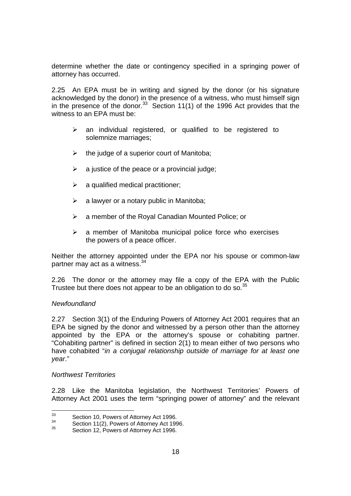determine whether the date or contingency specified in a springing power of attorney has occurred.

2.25 An EPA must be in writing and signed by the donor (or his signature acknowledged by the donor) in the presence of a witness, who must himself sign in the presence of the donor.<sup>33</sup> Section 11(1) of the 1996 Act provides that the witness to an EPA must be:

- an individual registered, or qualified to be registered to solemnize marriages;
- $\triangleright$  the judge of a superior court of Manitoba;
- $\triangleright$  a justice of the peace or a provincial judge;
- $\triangleright$  a qualified medical practitioner;
- $\triangleright$  a lawyer or a notary public in Manitoba;
- $\triangleright$  a member of the Royal Canadian Mounted Police; or
- $\triangleright$  a member of Manitoba municipal police force who exercises the powers of a peace officer.

Neither the attorney appointed under the EPA nor his spouse or common-law partner may act as a witness.<sup>34</sup>

2.26 The donor or the attorney may file a copy of the EPA with the Public Trustee but there does not appear to be an obligation to do so.<sup>35</sup>

#### *Newfoundland*

2.27 Section 3(1) of the Enduring Powers of Attorney Act 2001 requires that an EPA be signed by the donor and witnessed by a person other than the attorney appointed by the EPA or the attorney's spouse or cohabiting partner. "Cohabiting partner" is defined in section 2(1) to mean either of two persons who have cohabited "*in a conjugal relationship outside of marriage for at least one year*."

#### *Northwest Territories*

2.28 Like the Manitoba legislation, the Northwest Territories' Powers of Attorney Act 2001 uses the term "springing power of attorney" and the relevant

 $33$ 

 $\frac{33}{34}$  Section 10, Powers of Attorney Act 1996.<br>
Section 11(2), Powers of Attorney Act 1996.<br>
Section 12, Powers of Attorney Act 1996.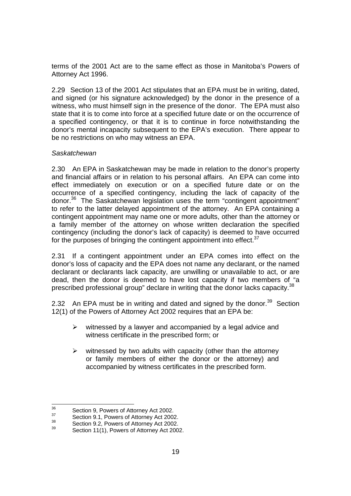terms of the 2001 Act are to the same effect as those in Manitoba's Powers of Attorney Act 1996.

2.29 Section 13 of the 2001 Act stipulates that an EPA must be in writing, dated, and signed (or his signature acknowledged) by the donor in the presence of a witness, who must himself sign in the presence of the donor. The EPA must also state that it is to come into force at a specified future date or on the occurrence of a specified contingency, or that it is to continue in force notwithstanding the donor's mental incapacity subsequent to the EPA's execution. There appear to be no restrictions on who may witness an EPA.

#### *Saskatchewan*

2.30 An EPA in Saskatchewan may be made in relation to the donor's property and financial affairs or in relation to his personal affairs. An EPA can come into effect immediately on execution or on a specified future date or on the occurrence of a specified contingency, including the lack of capacity of the donor.36 The Saskatchewan legislation uses the term "contingent appointment" to refer to the latter delayed appointment of the attorney. An EPA containing a contingent appointment may name one or more adults, other than the attorney or a family member of the attorney on whose written declaration the specified contingency (including the donor's lack of capacity) is deemed to have occurred for the purposes of bringing the contingent appointment into effect.  $37$ 

2.31 If a contingent appointment under an EPA comes into effect on the donor's loss of capacity and the EPA does not name any declarant, or the named declarant or declarants lack capacity, are unwilling or unavailable to act, or are dead, then the donor is deemed to have lost capacity if two members of "a prescribed professional group" declare in writing that the donor lacks capacity.<sup>38</sup>

2.32 An EPA must be in writing and dated and signed by the donor.<sup>39</sup> Section 12(1) of the Powers of Attorney Act 2002 requires that an EPA be:

- $\triangleright$  witnessed by a lawyer and accompanied by a legal advice and witness certificate in the prescribed form; or
- $\triangleright$  witnessed by two adults with capacity (other than the attorney or family members of either the donor or the attorney) and accompanied by witness certificates in the prescribed form.

 $36$ 

<sup>36</sup> Section 9, Powers of Attorney Act 2002.<br>
38 Section 9.1, Powers of Attorney Act 2002.<br>
39 Section 11(1), Powers of Attorney Act 2002.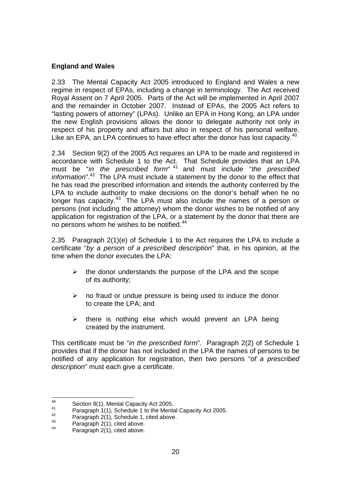#### **England and Wales**

2.33 The Mental Capacity Act 2005 introduced to England and Wales a new regime in respect of EPAs, including a change in terminology. The Act received Royal Assent on 7 April 2005. Parts of the Act will be implemented in April 2007 and the remainder in October 2007. Instead of EPAs, the 2005 Act refers to "lasting powers of attorney" (LPAs). Unlike an EPA in Hong Kong, an LPA under the new English provisions allows the donor to delegate authority not only in respect of his property and affairs but also in respect of his personal welfare. Like an EPA, an LPA continues to have effect after the donor has lost capacity.<sup>40</sup>

2.34 Section 9(2) of the 2005 Act requires an LPA to be made and registered in accordance with Schedule 1 to the Act. That Schedule provides that an LPA must be "*in the prescribed form*" 41 and must include "*the prescribed information*".42 The LPA must include a statement by the donor to the effect that he has read the prescribed information and intends the authority conferred by the LPA to include authority to make decisions on the donor's behalf when he no longer has capacity.<sup>43</sup> The LPA must also include the names of a person or persons (not including the attorney) whom the donor wishes to be notified of any application for registration of the LPA, or a statement by the donor that there are no persons whom he wishes to be notified.<sup>44</sup>

2.35 Paragraph 2(1)(e) of Schedule 1 to the Act requires the LPA to include a certificate "*by a person of a prescribed description*" that, in his opinion, at the time when the donor executes the LPA:

- $\triangleright$  the donor understands the purpose of the LPA and the scope of its authority;
- $\triangleright$  no fraud or undue pressure is being used to induce the donor to create the LPA; and
- $\triangleright$  there is nothing else which would prevent an LPA being created by the instrument.

This certificate must be "*in the prescribed form*". Paragraph 2(2) of Schedule 1 provides that if the donor has not included in the LPA the names of persons to be notified of any application for registration, then two persons "*of a prescribed description*" must each give a certificate.

<sup>40</sup> 

<sup>40</sup> Section 9(1), Mental Capacity Act 2005.<br>
41 Paragraph 1(1), Schedule 1 to the Mental Capacity Act 2005.<br>
43 Paragraph 2(1), Schedule 1, cited above.<br>
44 Paragraph 2(1), cited above.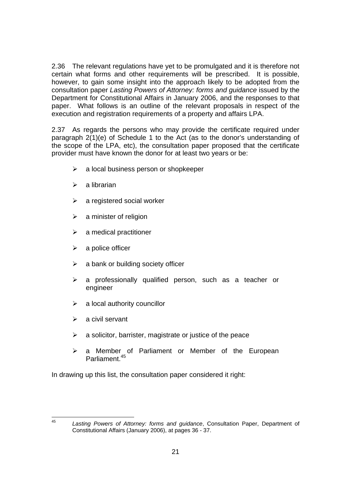2.36 The relevant regulations have yet to be promulgated and it is therefore not certain what forms and other requirements will be prescribed. It is possible, however, to gain some insight into the approach likely to be adopted from the consultation paper *Lasting Powers of Attorney: forms and guidance* issued by the Department for Constitutional Affairs in January 2006, and the responses to that paper. What follows is an outline of the relevant proposals in respect of the execution and registration requirements of a property and affairs LPA.

2.37 As regards the persons who may provide the certificate required under paragraph 2(1)(e) of Schedule 1 to the Act (as to the donor's understanding of the scope of the LPA, etc), the consultation paper proposed that the certificate provider must have known the donor for at least two years or be:

- $\triangleright$  a local business person or shopkeeper
- $\triangleright$  a librarian
- $\triangleright$  a registered social worker
- $\triangleright$  a minister of religion
- $\triangleright$  a medical practitioner
- $\triangleright$  a police officer
- $\triangleright$  a bank or building society officer
- $\triangleright$  a professionally qualified person, such as a teacher or engineer
- $\triangleright$  a local authority councillor
- $\triangleright$  a civil servant
- $\triangleright$  a solicitor, barrister, magistrate or justice of the peace
- $\triangleright$  a Member of Parliament or Member of the European Parliament.<sup>45</sup>

In drawing up this list, the consultation paper considered it right:

 $45$ 45 *Lasting Powers of Attorney: forms and guidance*, Consultation Paper, Department of Constitutional Affairs (January 2006), at pages 36 - 37.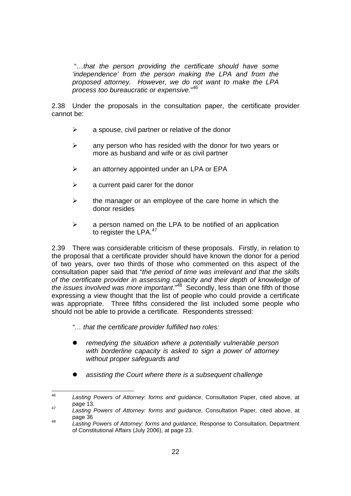"…*that the person providing the certificate should have some 'independence' from the person making the LPA and from the proposed attorney. However, we do not want to make the LPA process too bureaucratic or expensive*."46

2.38 Under the proposals in the consultation paper, the certificate provider cannot be:

- $\triangleright$  a spouse, civil partner or relative of the donor
- $\triangleright$  any person who has resided with the donor for two years or more as husband and wife or as civil partner
- $\triangleright$  an attorney appointed under an LPA or EPA
- $\triangleright$  a current paid carer for the donor
- $\triangleright$  the manager or an employee of the care home in which the donor resides
- $\triangleright$  a person named on the LPA to be notified of an application to register the LPA.<sup>47</sup>

2.39 There was considerable criticism of these proposals. Firstly, in relation to the proposal that a certificate provider should have known the donor for a period of two years, over two thirds of those who commented on this aspect of the consultation paper said that "*the period of time was irrelevant and that the skills of the certificate provider in assessing capacity and their depth of knowledge of the issues involved was more important*."48 Secondly, less than one fifth of those expressing a view thought that the list of people who could provide a certificate was appropriate. Three fifths considered the list included some people who should not be able to provide a certificate. Respondents stressed:

*"… that the certificate provider fulfilled two roles:* 

- remedying the situation where a potentially vulnerable person *with borderline capacity is asked to sign a power of attorney without proper safeguards and*
- z *assisting the Court where there is a subsequent challenge*

<sup>46</sup> Lasting Powers of Attorney: forms and guidance, Consultation Paper, cited above, at page 13.

page 13. 47 *Lasting Powers of Attorney: forms and guidance,* Consultation Paper*,* cited above, at

page 36 48 *Lasting Powers of Attorney: forms and guidance*, Response to Consultation, Department of Constitutional Affairs (July 2006), at page 23.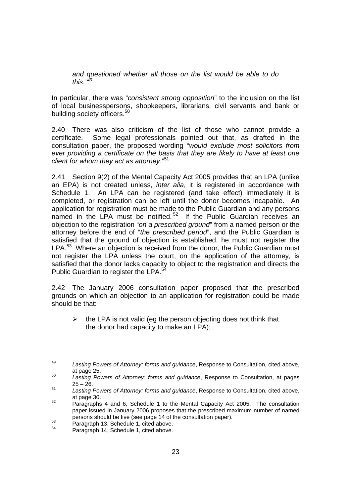*and questioned whether all those on the list would be able to do this."49*

In particular, there was "*consistent strong opposition*" to the inclusion on the list of local businesspersons, shopkeepers, librarians, civil servants and bank or building society officers.<sup>50</sup>

2.40 There was also criticism of the list of those who cannot provide a certificate. Some legal professionals pointed out that, as drafted in the consultation paper, the proposed wording "*would exclude most solicitors from ever providing a certificate on the basis that they are likely to have at least one client for whom they act as attorney*."51

2.41 Section 9(2) of the Mental Capacity Act 2005 provides that an LPA (unlike an EPA) is not created unless, *inter alia*, it is registered in accordance with Schedule 1. An LPA can be registered (and take effect) immediately it is completed, or registration can be left until the donor becomes incapable. An application for registration must be made to the Public Guardian and any persons named in the LPA must be notified.<sup>52</sup> If the Public Guardian receives an objection to the registration "*on a prescribed ground*" from a named person or the attorney before the end of "*the prescribed period*", and the Public Guardian is satisfied that the ground of objection is established, he must not register the LPA.<sup>53</sup> Where an objection is received from the donor, the Public Guardian must not register the LPA unless the court, on the application of the attorney, is satisfied that the donor lacks capacity to object to the registration and directs the Public Guardian to register the LPA.<sup>54</sup>

2.42 The January 2006 consultation paper proposed that the prescribed grounds on which an objection to an application for registration could be made should be that:

 $\triangleright$  the LPA is not valid (eq the person objecting does not think that the donor had capacity to make an LPA);

<sup>49</sup> 49 *Lasting Powers of Attorney: forms and guidance*, Response to Consultation, cited above, at page 25. 50 *Lasting Powers of Attorney: forms and guidance*, Response to Consultation, at pages

 $25 - 26$ .

<sup>51</sup> *Lasting Powers of Attorney: forms and guidance*, Response to Consultation, cited above, at page 30.<br>
Paragraphs 4 and 6, Schedule 1 to the Mental Capacity Act 2005. The consultation

paper issued in January 2006 proposes that the prescribed maximum number of named persons should be five (see page 14 of the consultation paper).<br>
Paragraph 13, Schedule 1, cited above.<br>
Paragraph 14, Schedule 1, cited above.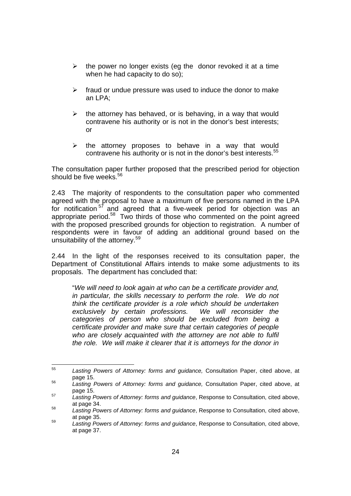- $\triangleright$  the power no longer exists (eg the donor revoked it at a time when he had capacity to do so);
- $\triangleright$  fraud or undue pressure was used to induce the donor to make an LPA;
- $\triangleright$  the attorney has behaved, or is behaving, in a way that would contravene his authority or is not in the donor's best interests; or
- $\triangleright$  the attorney proposes to behave in a way that would contravene his authority or is not in the donor's best interests.<sup>55</sup>

The consultation paper further proposed that the prescribed period for objection should be five weeks. $56$ 

2.43 The majority of respondents to the consultation paper who commented agreed with the proposal to have a maximum of five persons named in the LPA for notification  $57$  and agreed that a five-week period for objection was an appropriate period.58 Two thirds of those who commented on the point agreed with the proposed prescribed grounds for objection to registration. A number of respondents were in favour of adding an additional ground based on the unsuitability of the attorney.<sup>59</sup>

2.44 In the light of the responses received to its consultation paper, the Department of Constitutional Affairs intends to make some adjustments to its proposals. The department has concluded that:

"*We will need to look again at who can be a certificate provider and, in particular, the skills necessary to perform the role. We do not think the certificate provider is a role which should be undertaken exclusively by certain professions. We will reconsider the categories of person who should be excluded from being a certificate provider and make sure that certain categories of people who are closely acquainted with the attorney are not able to fulfil the role. We will make it clearer that it is attorneys for the donor in* 

<sup>55</sup> 55 *Lasting Powers of Attorney: forms and guidance,* Consultation Paper, cited above, at page 15. 56 *Lasting Powers of Attorney: forms and guidance,* Consultation Paper, cited above, at

page 15. 57 *Lasting Powers of Attorney: forms and guidance*, Response to Consultation, cited above,

at page 34. 58 *Lasting Powers of Attorney: forms and guidance*, Response to Consultation, cited above,

at page 35. 59 *Lasting Powers of Attorney: forms and guidance*, Response to Consultation, cited above,

at page 37.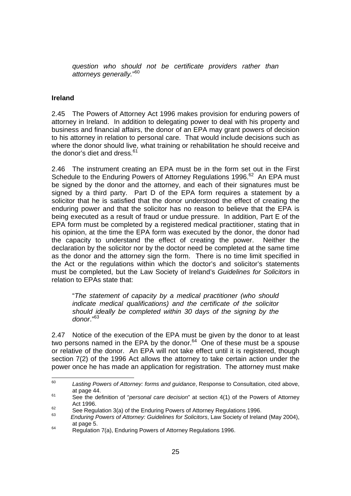*question who should not be certificate providers rather than attorneys generally.*" 60

#### **Ireland**

2.45 The Powers of Attorney Act 1996 makes provision for enduring powers of attorney in Ireland. In addition to delegating power to deal with his property and business and financial affairs, the donor of an EPA may grant powers of decision to his attorney in relation to personal care. That would include decisions such as where the donor should live, what training or rehabilitation he should receive and the donor's diet and dress. $6$ 

2.46 The instrument creating an EPA must be in the form set out in the First Schedule to the Enduring Powers of Attorney Regulations 1996.<sup>62</sup> An EPA must be signed by the donor and the attorney, and each of their signatures must be signed by a third party. Part D of the EPA form requires a statement by a solicitor that he is satisfied that the donor understood the effect of creating the enduring power and that the solicitor has no reason to believe that the EPA is being executed as a result of fraud or undue pressure. In addition, Part E of the EPA form must be completed by a registered medical practitioner, stating that in his opinion, at the time the EPA form was executed by the donor, the donor had the capacity to understand the effect of creating the power. Neither the declaration by the solicitor nor by the doctor need be completed at the same time as the donor and the attorney sign the form. There is no time limit specified in the Act or the regulations within which the doctor's and solicitor's statements must be completed, but the Law Society of Ireland's *Guidelines for Solicitors* in relation to EPAs state that:

"*The statement of capacity by a medical practitioner (who should indicate medical qualifications) and the certificate of the solicitor should ideally be completed within 30 days of the signing by the donor*."<sup>63</sup>

2.47 Notice of the execution of the EPA must be given by the donor to at least two persons named in the EPA by the donor. $64$  One of these must be a spouse or relative of the donor. An EPA will not take effect until it is registered, though section 7(2) of the 1996 Act allows the attorney to take certain action under the power once he has made an application for registration. The attorney must make

<sup>60</sup> 60 *Lasting Powers of Attorney: forms and guidance*, Response to Consultation, cited above, at page 44. 61 See the definition of "*personal care decision*" at section 4(1) of the Powers of Attorney

Act 1996.<br>See Regulation 3(a) of the Enduring Powers of Attorney Regulations 1996.

<sup>62</sup> See Regulation 3(a) of the Enduring Powers of Attorney Regulations 1996.<br> *Enduring Powers of Attorney: Guidelines for Solicitors*, Law Society of Ireland (May 2004),<br>
at page 5.

 $\frac{a}{b}$  Regulation 7(a), Enduring Powers of Attorney Regulations 1996.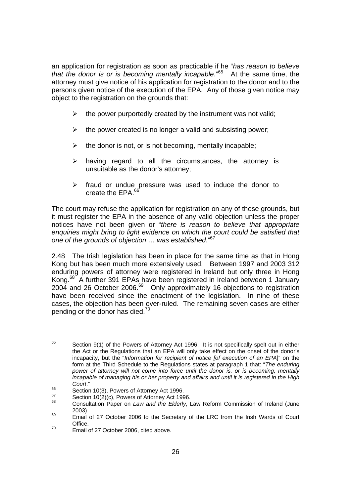an application for registration as soon as practicable if he "*has reason to believe that the donor is or is becoming mentally incapable*."65 At the same time, the attorney must give notice of his application for registration to the donor and to the persons given notice of the execution of the EPA. Any of those given notice may object to the registration on the grounds that:

- $\triangleright$  the power purportedly created by the instrument was not valid;
- $\triangleright$  the power created is no longer a valid and subsisting power;
- $\triangleright$  the donor is not, or is not becoming, mentally incapable;
- $\triangleright$  having regard to all the circumstances, the attorney is unsuitable as the donor's attorney;
- $\triangleright$  fraud or undue pressure was used to induce the donor to create the EPA.<sup>66</sup>

The court may refuse the application for registration on any of these grounds, but it must register the EPA in the absence of any valid objection unless the proper notices have not been given or "*there is reason to believe that appropriate enquiries might bring to light evidence on which the court could be satisfied that one of the grounds of objection … was established*."<sup>67</sup>

2.48 The Irish legislation has been in place for the same time as that in Hong Kong but has been much more extensively used. Between 1997 and 2003 312 enduring powers of attorney were registered in Ireland but only three in Hong Kong.<sup>68</sup> A further 391 EPAs have been registered in Ireland between 1 January 2004 and 26 October 2006.<sup>69</sup> Only approximately 16 objections to registration have been received since the enactment of the legislation. In nine of these cases, the objection has been over-ruled. The remaining seven cases are either pending or the donor has died.<sup>70</sup>

<sup>65</sup> Section 9(1) of the Powers of Attorney Act 1996. It is not specifically spelt out in either the Act or the Regulations that an EPA will only take effect on the onset of the donor's incapacity, but the "*Information for recipient of notice [of execution of an EPA*]" on the form at the Third Schedule to the Regulations states at paragraph 1 that: "*The enduring power of attorney will not come into force until the donor is, or is becoming, mentally incapable of managing his or her property and affairs and until it is registered in the High Court*."

<sup>66</sup> Section 10(3), Powers of Attorney Act 1996.<br>
67 Section 10(2)(c), Powers of Attorney Act 1996.<br>
68 Consultation Paper on *Law and the Elderly*, Law Reform Commission of Ireland (June  $2003$  2003)<br>  $69$  Email of 27 October 2006 to the Secretary of the LRC from the Irish Wards of Court

Office.

<sup>&</sup>lt;sup>70</sup> Email of 27 October 2006, cited above.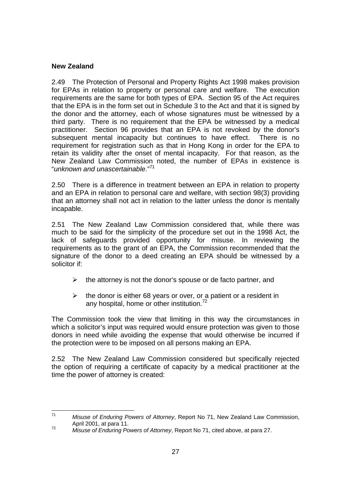## **New Zealand**

2.49 The Protection of Personal and Property Rights Act 1998 makes provision for EPAs in relation to property or personal care and welfare. The execution requirements are the same for both types of EPA. Section 95 of the Act requires that the EPA is in the form set out in Schedule 3 to the Act and that it is signed by the donor and the attorney, each of whose signatures must be witnessed by a third party. There is no requirement that the EPA be witnessed by a medical practitioner. Section 96 provides that an EPA is not revoked by the donor's subsequent mental incapacity but continues to have effect. There is no requirement for registration such as that in Hong Kong in order for the EPA to retain its validity after the onset of mental incapacity. For that reason, as the New Zealand Law Commission noted, the number of EPAs in existence is "*unknown and unascertainable*."<sup>71</sup>

2.50 There is a difference in treatment between an EPA in relation to property and an EPA in relation to personal care and welfare, with section 98(3) providing that an attorney shall not act in relation to the latter unless the donor is mentally incapable.

2.51 The New Zealand Law Commission considered that, while there was much to be said for the simplicity of the procedure set out in the 1998 Act, the lack of safeguards provided opportunity for misuse. In reviewing the requirements as to the grant of an EPA, the Commission recommended that the signature of the donor to a deed creating an EPA should be witnessed by a solicitor if:

- $\triangleright$  the attorney is not the donor's spouse or de facto partner, and
- $\triangleright$  the donor is either 68 years or over, or a patient or a resident in any hospital, home or other institution.<sup>72</sup>

The Commission took the view that limiting in this way the circumstances in which a solicitor's input was required would ensure protection was given to those donors in need while avoiding the expense that would otherwise be incurred if the protection were to be imposed on all persons making an EPA.

2.52 The New Zealand Law Commission considered but specifically rejected the option of requiring a certificate of capacity by a medical practitioner at the time the power of attorney is created:

 $71$ 71 *Misuse of Enduring Powers of Attorney*, Report No 71, New Zealand Law Commission, April 2001, at para 11. 72 *Misuse of Enduring Powers of Attorney*, Report No 71, cited above, at para 27.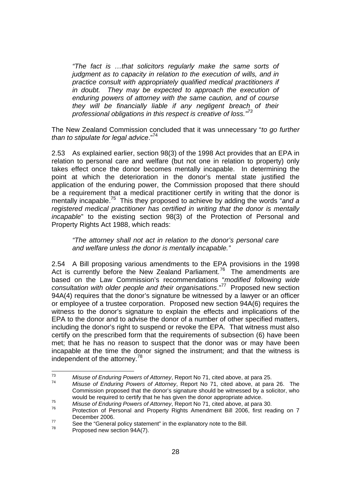*"The fact is …that solicitors regularly make the same sorts of judgment as to capacity in relation to the execution of wills, and in practice consult with appropriately qualified medical practitioners if in doubt. They may be expected to approach the execution of enduring powers of attorney with the same caution, and of course they will be financially liable if any negligent breach of their professional obligations in this respect is creative of loss."<sup>73</sup>*

The New Zealand Commission concluded that it was unnecessary "*to go further than to stipulate for legal advice*."74

2.53 As explained earlier, section 98(3) of the 1998 Act provides that an EPA in relation to personal care and welfare (but not one in relation to property) only takes effect once the donor becomes mentally incapable. In determining the point at which the deterioration in the donor's mental state justified the application of the enduring power, the Commission proposed that there should be a requirement that a medical practitioner certify in writing that the donor is mentally incapable.75 This they proposed to achieve by adding the words "*and a registered medical practitioner has certified in writing that the donor is mentally incapable*" to the existing section 98(3) of the Protection of Personal and Property Rights Act 1988, which reads:

*"The attorney shall not act in relation to the donor's personal care and welfare unless the donor is mentally incapable."* 

2.54 A Bill proposing various amendments to the EPA provisions in the 1998 Act is currently before the New Zealand Parliament.<sup>76</sup> The amendments are based on the Law Commission's recommendations "*modified following wide consultation with older people and their organisations*."77 Proposed new section 94A(4) requires that the donor's signature be witnessed by a lawyer or an officer or employee of a trustee corporation. Proposed new section 94A(6) requires the witness to the donor's signature to explain the effects and implications of the EPA to the donor and to advise the donor of a number of other specified matters, including the donor's right to suspend or revoke the EPA. That witness must also certify on the prescribed form that the requirements of subsection (6) have been met; that he has no reason to suspect that the donor was or may have been incapable at the time the donor signed the instrument; and that the witness is independent of the attorney.<sup>78</sup>

<sup>73</sup> 

<sup>73</sup>*Misuse of Enduring Powers of Attorney*, Report No 71, cited above, at para 25. 74 *Misuse of Enduring Powers of Attorney*, Report No 71, cited above, at para 26. The Commission proposed that the donor's signature should be witnessed by a solicitor, who

The Misuse of Enduring Powers of Attorney, Report No 71, cited above, at para 30.<br>The Protection of Personal and Property Rights Amendment Bill 2006, first reading on 7 December 2006.<br>
See the "General policy statement" in the explanatory note to the Bill.<br>
Proposed new section 94A(7).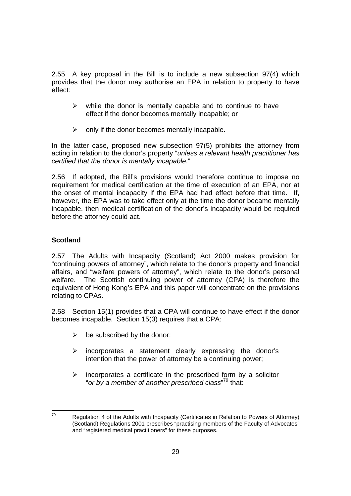2.55 A key proposal in the Bill is to include a new subsection 97(4) which provides that the donor may authorise an EPA in relation to property to have effect:

- $\triangleright$  while the donor is mentally capable and to continue to have effect if the donor becomes mentally incapable; or
- $\triangleright$  only if the donor becomes mentally incapable.

In the latter case, proposed new subsection 97(5) prohibits the attorney from acting in relation to the donor's property "*unless a relevant health practitioner has certified that the donor is mentally incapable*."

2.56 If adopted, the Bill's provisions would therefore continue to impose no requirement for medical certification at the time of execution of an EPA, nor at the onset of mental incapacity if the EPA had had effect before that time. If, however, the EPA was to take effect only at the time the donor became mentally incapable, then medical certification of the donor's incapacity would be required before the attorney could act.

## **Scotland**

2.57 The Adults with Incapacity (Scotland) Act 2000 makes provision for "continuing powers of attorney", which relate to the donor's property and financial affairs, and "welfare powers of attorney", which relate to the donor's personal welfare. The Scottish continuing power of attorney (CPA) is therefore the equivalent of Hong Kong's EPA and this paper will concentrate on the provisions relating to CPAs.

2.58 Section 15(1) provides that a CPA will continue to have effect if the donor becomes incapable. Section 15(3) requires that a CPA:

- $\triangleright$  be subscribed by the donor;
- $\triangleright$  incorporates a statement clearly expressing the donor's intention that the power of attorney be a continuing power;
- $\triangleright$  incorporates a certificate in the prescribed form by a solicitor "*or by a member of another prescribed class*" 79 that:

 $70^{\circ}$ Regulation 4 of the Adults with Incapacity (Certificates in Relation to Powers of Attorney) (Scotland) Regulations 2001 prescribes "practising members of the Faculty of Advocates" and "registered medical practitioners" for these purposes.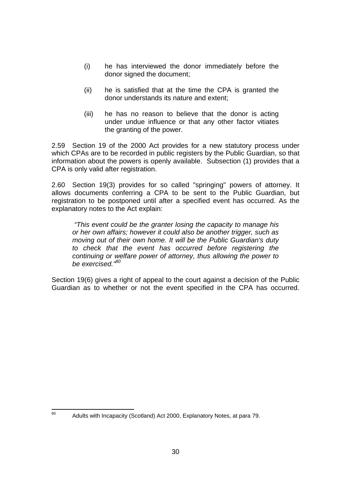- (i) he has interviewed the donor immediately before the donor signed the document;
- (ii) he is satisfied that at the time the CPA is granted the donor understands its nature and extent;
- (iii) he has no reason to believe that the donor is acting under undue influence or that any other factor vitiates the granting of the power.

2.59 Section 19 of the 2000 Act provides for a new statutory process under which CPAs are to be recorded in public registers by the Public Guardian, so that information about the powers is openly available. Subsection (1) provides that a CPA is only valid after registration.

2.60 Section 19(3) provides for so called "springing" powers of attorney. It allows documents conferring a CPA to be sent to the Public Guardian, but registration to be postponed until after a specified event has occurred. As the explanatory notes to the Act explain:

 *"This event could be the granter losing the capacity to manage his or her own affairs; however it could also be another trigger, such as moving out of their own home. It will be the Public Guardian's duty to check that the event has occurred before registering the continuing or welfare power of attorney, thus allowing the power to be exercised."80*

Section 19(6) gives a right of appeal to the court against a decision of the Public Guardian as to whether or not the event specified in the CPA has occurred.

80

Adults with Incapacity (Scotland) Act 2000, Explanatory Notes, at para 79.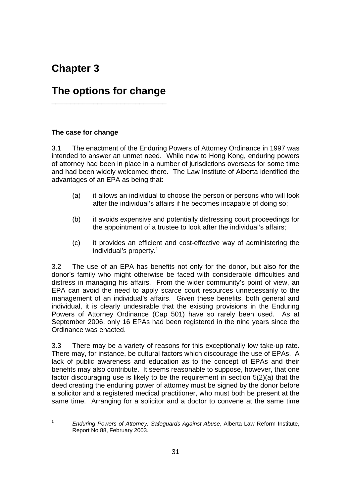# **Chapter 3**

## **The options for change**  \_\_\_\_\_\_\_\_\_\_\_\_\_\_\_\_\_\_\_\_\_\_\_\_\_\_\_\_\_\_

## **The case for change**

 $\frac{1}{1}$ 

3.1 The enactment of the Enduring Powers of Attorney Ordinance in 1997 was intended to answer an unmet need. While new to Hong Kong, enduring powers of attorney had been in place in a number of jurisdictions overseas for some time and had been widely welcomed there. The Law Institute of Alberta identified the advantages of an EPA as being that:

- (a) it allows an individual to choose the person or persons who will look after the individual's affairs if he becomes incapable of doing so;
- (b) it avoids expensive and potentially distressing court proceedings for the appointment of a trustee to look after the individual's affairs;
- (c) it provides an efficient and cost-effective way of administering the individual's property.<sup>1</sup>

3.2 The use of an EPA has benefits not only for the donor, but also for the donor's family who might otherwise be faced with considerable difficulties and distress in managing his affairs. From the wider community's point of view, an EPA can avoid the need to apply scarce court resources unnecessarily to the management of an individual's affairs. Given these benefits, both general and individual, it is clearly undesirable that the existing provisions in the Enduring Powers of Attorney Ordinance (Cap 501) have so rarely been used. As at September 2006, only 16 EPAs had been registered in the nine years since the Ordinance was enacted.

3.3 There may be a variety of reasons for this exceptionally low take-up rate. There may, for instance, be cultural factors which discourage the use of EPAs. A lack of public awareness and education as to the concept of EPAs and their benefits may also contribute. It seems reasonable to suppose, however, that one factor discouraging use is likely to be the requirement in section 5(2)(a) that the deed creating the enduring power of attorney must be signed by the donor before a solicitor and a registered medical practitioner, who must both be present at the same time. Arranging for a solicitor and a doctor to convene at the same time

*Enduring Powers of Attorney: Safeguards Against Abuse*, Alberta Law Reform Institute, Report No 88, February 2003.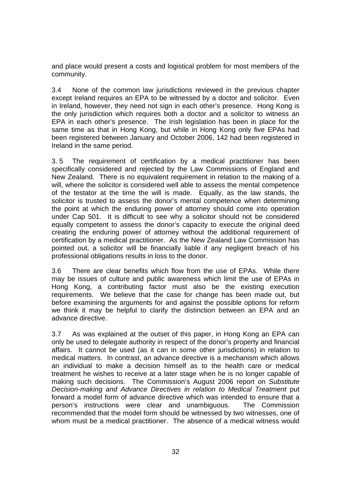and place would present a costs and logistical problem for most members of the community.

3.4 None of the common law jurisdictions reviewed in the previous chapter except Ireland requires an EPA to be witnessed by a doctor and solicitor. Even in Ireland, however, they need not sign in each other's presence. Hong Kong is the only jurisdiction which requires both a doctor and a solicitor to witness an EPA in each other's presence. The Irish legislation has been in place for the same time as that in Hong Kong, but while in Hong Kong only five EPAs had been registered between January and October 2006, 142 had been registered in Ireland in the same period.

3. 5 The requirement of certification by a medical practitioner has been specifically considered and rejected by the Law Commissions of England and New Zealand. There is no equivalent requirement in relation to the making of a will, where the solicitor is considered well able to assess the mental competence of the testator at the time the will is made. Equally, as the law stands, the solicitor is trusted to assess the donor's mental competence when determining the point at which the enduring power of attorney should come into operation under Cap 501. It is difficult to see why a solicitor should not be considered equally competent to assess the donor's capacity to execute the original deed creating the enduring power of attorney without the additional requirement of certification by a medical practitioner. As the New Zealand Law Commission has pointed out, a solicitor will be financially liable if any negligent breach of his professional obligations results in loss to the donor.

3.6 There are clear benefits which flow from the use of EPAs. While there may be issues of culture and public awareness which limit the use of EPAs in Hong Kong, a contributing factor must also be the existing execution requirements. We believe that the case for change has been made out, but before examining the arguments for and against the possible options for reform we think it may be helpful to clarify the distinction between an EPA and an advance directive.

3.7 As was explained at the outset of this paper, in Hong Kong an EPA can only be used to delegate authority in respect of the donor's property and financial affairs. It cannot be used (as it can in some other jurisdictions) in relation to medical matters. In contrast, an advance directive is a mechanism which allows an individual to make a decision himself as to the health care or medical treatment he wishes to receive at a later stage when he is no longer capable of making such decisions. The Commission's August 2006 report on *Substitute Decision-making and Advance Directives in relation to Medical Treatment* put forward a model form of advance directive which was intended to ensure that a person's instructions were clear and unambiguous. The Commission recommended that the model form should be witnessed by two witnesses, one of whom must be a medical practitioner. The absence of a medical witness would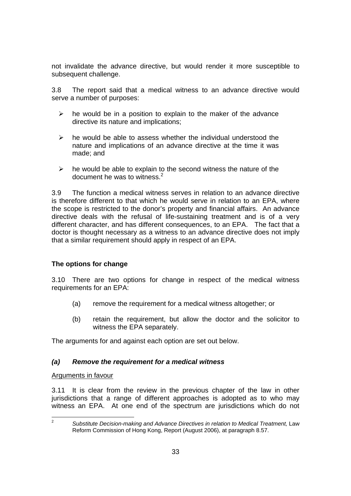not invalidate the advance directive, but would render it more susceptible to subsequent challenge.

3.8 The report said that a medical witness to an advance directive would serve a number of purposes:

- $\triangleright$  he would be in a position to explain to the maker of the advance directive its nature and implications;
- $\triangleright$  he would be able to assess whether the individual understood the nature and implications of an advance directive at the time it was made; and
- $\triangleright$  he would be able to explain to the second witness the nature of the document he was to witness.<sup>2</sup>

3.9 The function a medical witness serves in relation to an advance directive is therefore different to that which he would serve in relation to an EPA, where the scope is restricted to the donor's property and financial affairs. An advance directive deals with the refusal of life-sustaining treatment and is of a very different character, and has different consequences, to an EPA. The fact that a doctor is thought necessary as a witness to an advance directive does not imply that a similar requirement should apply in respect of an EPA.

#### **The options for change**

3.10 There are two options for change in respect of the medical witness requirements for an EPA:

- (a) remove the requirement for a medical witness altogether; or
- (b) retain the requirement, but allow the doctor and the solicitor to witness the EPA separately.

The arguments for and against each option are set out below.

#### *(a) Remove the requirement for a medical witness*

#### Arguments in favour

3.11 It is clear from the review in the previous chapter of the law in other jurisdictions that a range of different approaches is adopted as to who may witness an EPA. At one end of the spectrum are jurisdictions which do not

 $\frac{1}{2}$ Substitute Decision-making and Advance Directives in relation to Medical Treatment, Law Reform Commission of Hong Kong, Report (August 2006), at paragraph 8.57.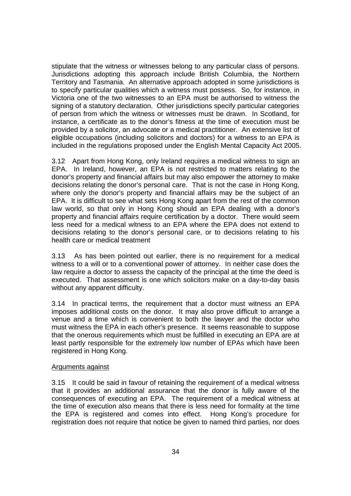stipulate that the witness or witnesses belong to any particular class of persons. Jurisdictions adopting this approach include British Columbia, the Northern Territory and Tasmania. An alternative approach adopted in some jurisdictions is to specify particular qualities which a witness must possess. So, for instance, in Victoria one of the two witnesses to an EPA must be authorised to witness the signing of a statutory declaration. Other jurisdictions specify particular categories of person from which the witness or witnesses must be drawn. In Scotland, for instance, a certificate as to the donor's fitness at the time of execution must be provided by a solicitor, an advocate or a medical practitioner. An extensive list of eligible occupations (including solicitors and doctors) for a witness to an EPA is included in the regulations proposed under the English Mental Capacity Act 2005.

3.12 Apart from Hong Kong, only Ireland requires a medical witness to sign an EPA. In Ireland, however, an EPA is not restricted to matters relating to the donor's property and financial affairs but may also empower the attorney to make decisions relating the donor's personal care. That is not the case in Hong Kong, where only the donor's property and financial affairs may be the subject of an EPA. It is difficult to see what sets Hong Kong apart from the rest of the common law world, so that only in Hong Kong should an EPA dealing with a donor's property and financial affairs require certification by a doctor. There would seem less need for a medical witness to an EPA where the EPA does not extend to decisions relating to the donor's personal care, or to decisions relating to his health care or medical treatment

3.13 As has been pointed out earlier, there is no requirement for a medical witness to a will or to a conventional power of attorney. In neither case does the law require a doctor to assess the capacity of the principal at the time the deed is executed. That assessment is one which solicitors make on a day-to-day basis without any apparent difficulty.

3.14 In practical terms, the requirement that a doctor must witness an EPA imposes additional costs on the donor. It may also prove difficult to arrange a venue and a time which is convenient to both the lawyer and the doctor who must witness the EPA in each other's presence. It seems reasonable to suppose that the onerous requirements which must be fulfilled in executing an EPA are at least partly responsible for the extremely low number of EPAs which have been registered in Hong Kong.

#### Arguments against

3.15 It could be said in favour of retaining the requirement of a medical witness that it provides an additional assurance that the donor is fully aware of the consequences of executing an EPA. The requirement of a medical witness at the time of execution also means that there is less need for formality at the time the EPA is registered and comes into effect. Hong Kong's procedure for registration does not require that notice be given to named third parties, nor does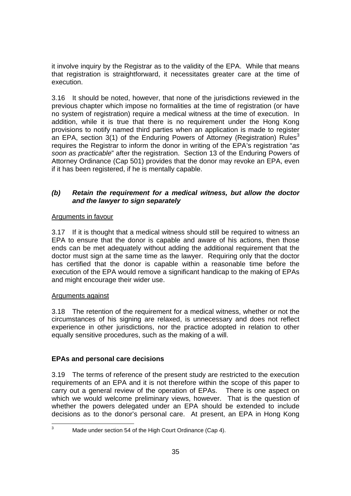it involve inquiry by the Registrar as to the validity of the EPA. While that means that registration is straightforward, it necessitates greater care at the time of execution.

3.16 It should be noted, however, that none of the jurisdictions reviewed in the previous chapter which impose no formalities at the time of registration (or have no system of registration) require a medical witness at the time of execution. In addition, while it is true that there is no requirement under the Hong Kong provisions to notify named third parties when an application is made to register an EPA, section  $3(1)$  of the Enduring Powers of Attorney (Registration) Rules<sup>3</sup> requires the Registrar to inform the donor in writing of the EPA's registration "*as soon as practicable*" after the registration. Section 13 of the Enduring Powers of Attorney Ordinance (Cap 501) provides that the donor may revoke an EPA, even if it has been registered, if he is mentally capable.

## *(b) Retain the requirement for a medical witness, but allow the doctor and the lawyer to sign separately*

## Arguments in favour

3.17 If it is thought that a medical witness should still be required to witness an EPA to ensure that the donor is capable and aware of his actions, then those ends can be met adequately without adding the additional requirement that the doctor must sign at the same time as the lawyer. Requiring only that the doctor has certified that the donor is capable within a reasonable time before the execution of the EPA would remove a significant handicap to the making of EPAs and might encourage their wider use.

#### Arguments against

3.18 The retention of the requirement for a medical witness, whether or not the circumstances of his signing are relaxed, is unnecessary and does not reflect experience in other jurisdictions, nor the practice adopted in relation to other equally sensitive procedures, such as the making of a will.

## **EPAs and personal care decisions**

3.19 The terms of reference of the present study are restricted to the execution requirements of an EPA and it is not therefore within the scope of this paper to carry out a general review of the operation of EPAs. There is one aspect on which we would welcome preliminary views, however. That is the question of whether the powers delegated under an EPA should be extended to include decisions as to the donor's personal care. At present, an EPA in Hong Kong

<sup>-&</sup>lt;br>3 Made under section 54 of the High Court Ordinance (Cap 4).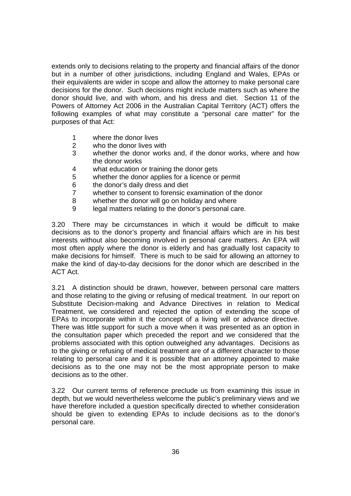extends only to decisions relating to the property and financial affairs of the donor but in a number of other jurisdictions, including England and Wales, EPAs or their equivalents are wider in scope and allow the attorney to make personal care decisions for the donor. Such decisions might include matters such as where the donor should live, and with whom, and his dress and diet. Section 11 of the Powers of Attorney Act 2006 in the Australian Capital Territory (ACT) offers the following examples of what may constitute a "personal care matter" for the purposes of that Act:

- 1 where the donor lives
- 2 who the donor lives with
- 3 whether the donor works and, if the donor works, where and how the donor works
- 4 what education or training the donor gets
- 5 whether the donor applies for a licence or permit
- 6 the donor's daily dress and diet
- 7 whether to consent to forensic examination of the donor
- 8 whether the donor will go on holiday and where
- 9 legal matters relating to the donor's personal care.

3.20 There may be circumstances in which it would be difficult to make decisions as to the donor's property and financial affairs which are in his best interests without also becoming involved in personal care matters. An EPA will most often apply where the donor is elderly and has gradually lost capacity to make decisions for himself. There is much to be said for allowing an attorney to make the kind of day-to-day decisions for the donor which are described in the ACT Act.

3.21 A distinction should be drawn, however, between personal care matters and those relating to the giving or refusing of medical treatment. In our report on Substitute Decision-making and Advance Directives in relation to Medical Treatment, we considered and rejected the option of extending the scope of EPAs to incorporate within it the concept of a living will or advance directive. There was little support for such a move when it was presented as an option in the consultation paper which preceded the report and we considered that the problems associated with this option outweighed any advantages. Decisions as to the giving or refusing of medical treatment are of a different character to those relating to personal care and it is possible that an attorney appointed to make decisions as to the one may not be the most appropriate person to make decisions as to the other.

3.22 Our current terms of reference preclude us from examining this issue in depth, but we would nevertheless welcome the public's preliminary views and we have therefore included a question specifically directed to whether consideration should be given to extending EPAs to include decisions as to the donor's personal care.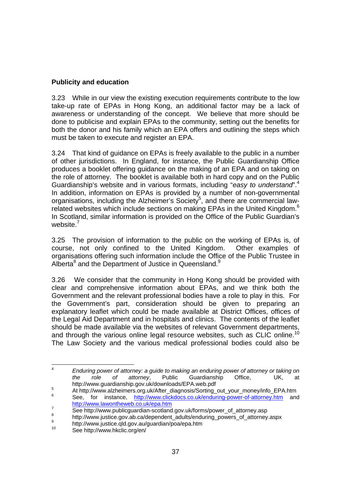## **Publicity and education**

3.23 While in our view the existing execution requirements contribute to the low take-up rate of EPAs in Hong Kong, an additional factor may be a lack of awareness or understanding of the concept. We believe that more should be done to publicise and explain EPAs to the community, setting out the benefits for both the donor and his family which an EPA offers and outlining the steps which must be taken to execute and register an EPA.

3.24 That kind of guidance on EPAs is freely available to the public in a number of other jurisdictions. In England, for instance, the Public Guardianship Office produces a booklet offering guidance on the making of an EPA and on taking on the role of attorney. The booklet is available both in hard copy and on the Public Guardianship's website and in various formats, including "*easy to understand*".<sup>4</sup> In addition, information on EPAs is provided by a number of non-governmental organisations, including the Alzheimer's Society $5$ , and there are commercial lawrelated websites which include sections on making EPAs in the United Kingdom.<sup>6</sup> In Scotland, similar information is provided on the Office of the Public Guardian's website.<sup>7</sup>

3.25 The provision of information to the public on the working of EPAs is, of course, not only confined to the United Kingdom. Other examples of organisations offering such information include the Office of the Public Trustee in Alberta<sup>8</sup> and the Department of Justice in Queensland.<sup>9</sup>

3.26 We consider that the community in Hong Kong should be provided with clear and comprehensive information about EPAs, and we think both the Government and the relevant professional bodies have a role to play in this. For the Government's part, consideration should be given to preparing an explanatory leaflet which could be made available at District Offices, offices of the Legal Aid Department and in hospitals and clinics. The contents of the leaflet should be made available via the websites of relevant Government departments, and through the various online legal resource websites, such as CLIC online.<sup>10</sup> The Law Society and the various medical professional bodies could also be

 $\frac{1}{4}$  *Enduring power of attorney: a guide to making an enduring power of attorney or taking on the role of attorney*, Public Guardianship Office, UK, at http://www.guardianship.gov.uk/downloads/EPA.web.pdf<br>5. At http://www.guardianship.gov.uk/After diameter/Oasting

At http://www.alzheimers.org.uk/After\_diagnosis/Sorting\_out\_your\_money/info\_EPA.htm 6 See, for instance, http://www.clickdocs.co.uk/enduring-power-of-attorney.htm and http://www.lawontheweb.co.uk/epa.htm

See http://www.publicquardian-scotland.gov.uk/forms/power\_of\_attorney.asp

<sup>8</sup> http://www.justice.gov.ab.ca/dependent\_adults/enduring\_powers\_of\_attorney.aspx  $\alpha$ 

 $h_{\text{th}}^9$  http://www.justice.qld.gov.au/guardian/poa/epa.htm

See http://www.hkclic.org/en/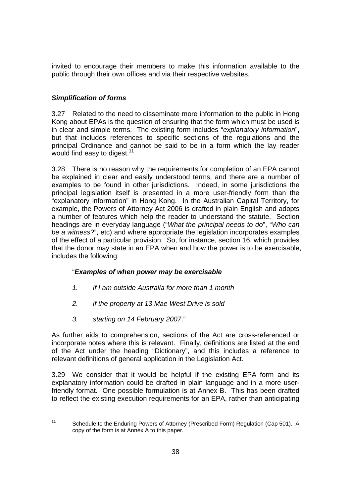invited to encourage their members to make this information available to the public through their own offices and via their respective websites.

## *Simplification of forms*

3.27 Related to the need to disseminate more information to the public in Hong Kong about EPAs is the question of ensuring that the form which must be used is in clear and simple terms. The existing form includes "*explanatory information*", but that includes references to specific sections of the regulations and the principal Ordinance and cannot be said to be in a form which the lay reader would find easy to digest.<sup>11</sup>

3.28 There is no reason why the requirements for completion of an EPA cannot be explained in clear and easily understood terms, and there are a number of examples to be found in other jurisdictions. Indeed, in some jurisdictions the principal legislation itself is presented in a more user-friendly form than the "explanatory information" in Hong Kong. In the Australian Capital Territory, for example, the Powers of Attorney Act 2006 is drafted in plain English and adopts a number of features which help the reader to understand the statute. Section headings are in everyday language ("*What the principal needs to do*", "*Who can be a witness*?", etc) and where appropriate the legislation incorporates examples of the effect of a particular provision. So, for instance, section 16, which provides that the donor may state in an EPA when and how the power is to be exercisable, includes the following:

## "*Examples of when power may be exercisable*

- *1. if I am outside Australia for more than 1 month*
- *2. if the property at 13 Mae West Drive is sold*
- *3. starting on 14 February 2007*."

As further aids to comprehension, sections of the Act are cross-referenced or incorporate notes where this is relevant. Finally, definitions are listed at the end of the Act under the heading "Dictionary", and this includes a reference to relevant definitions of general application in the Legislation Act.

3.29 We consider that it would be helpful if the existing EPA form and its explanatory information could be drafted in plain language and in a more userfriendly format. One possible formulation is at Annex B. This has been drafted to reflect the existing execution requirements for an EPA, rather than anticipating

 $11$ Schedule to the Enduring Powers of Attorney (Prescribed Form) Regulation (Cap 501). A copy of the form is at Annex A to this paper.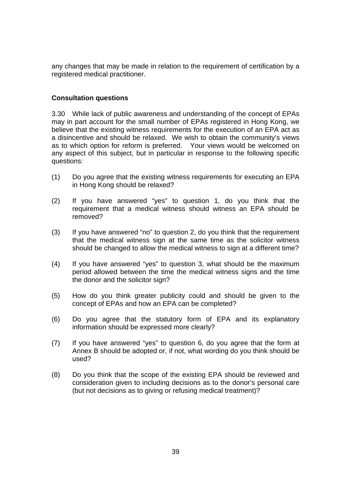any changes that may be made in relation to the requirement of certification by a registered medical practitioner.

#### **Consultation questions**

3.30 While lack of public awareness and understanding of the concept of EPAs may in part account for the small number of EPAs registered in Hong Kong, we believe that the existing witness requirements for the execution of an EPA act as a disincentive and should be relaxed. We wish to obtain the community's views as to which option for reform is preferred. Your views would be welcomed on any aspect of this subject, but in particular in response to the following specific questions:

- (1) Do you agree that the existing witness requirements for executing an EPA in Hong Kong should be relaxed?
- (2) If you have answered "yes" to question 1, do you think that the requirement that a medical witness should witness an EPA should be removed?
- (3) If you have answered "no" to question 2, do you think that the requirement that the medical witness sign at the same time as the solicitor witness should be changed to allow the medical witness to sign at a different time?
- (4) If you have answered "yes" to question 3, what should be the maximum period allowed between the time the medical witness signs and the time the donor and the solicitor sign?
- (5) How do you think greater publicity could and should be given to the concept of EPAs and how an EPA can be completed?
- (6) Do you agree that the statutory form of EPA and its explanatory information should be expressed more clearly?
- (7) If you have answered "yes" to question 6, do you agree that the form at Annex B should be adopted or, if not, what wording do you think should be used?
- (8) Do you think that the scope of the existing EPA should be reviewed and consideration given to including decisions as to the donor's personal care (but not decisions as to giving or refusing medical treatment)?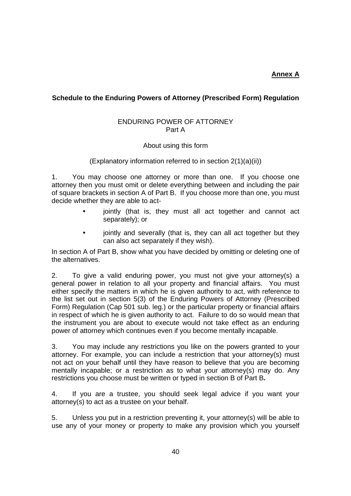## **Annex A**

## **Schedule to the Enduring Powers of Attorney (Prescribed Form) Regulation**

## ENDURING POWER OF ATTORNEY Part A

#### About using this form

#### (Explanatory information referred to in section 2(1)(a)(ii))

1. You may choose one attorney or more than one. If you choose one attorney then you must omit or delete everything between and including the pair of square brackets in section A of Part B. If you choose more than one, you must decide whether they are able to act-

- jointly (that is, they must all act together and cannot act separately); or
- jointly and severally (that is, they can all act together but they can also act separately if they wish).

In section A of Part B, show what you have decided by omitting or deleting one of the alternatives.

2. To give a valid enduring power, you must not give your attorney(s) a general power in relation to all your property and financial affairs. You must either specify the matters in which he is given authority to act, with reference to the list set out in section 5(3) of the Enduring Powers of Attorney (Prescribed Form) Regulation (Cap 501 sub. leg.) or the particular property or financial affairs in respect of which he is given authority to act. Failure to do so would mean that the instrument you are about to execute would not take effect as an enduring power of attorney which continues even if you become mentally incapable.

3. You may include any restrictions you like on the powers granted to your attorney. For example, you can include a restriction that your attorney(s) must not act on your behalf until they have reason to believe that you are becoming mentally incapable; or a restriction as to what your attorney(s) may do. Any restrictions you choose must be written or typed in section B of Part B**.** 

4. If you are a trustee, you should seek legal advice if you want your attorney(s) to act as a trustee on your behalf.

5. Unless you put in a restriction preventing it, your attorney(s) will be able to use any of your money or property to make any provision which you yourself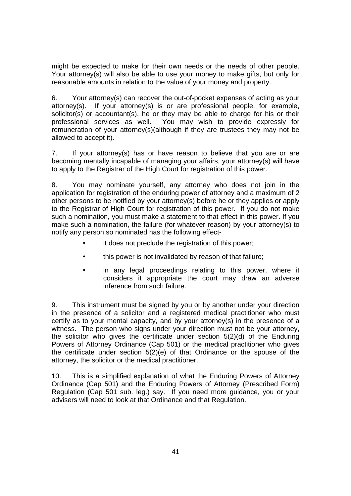might be expected to make for their own needs or the needs of other people. Your attorney(s) will also be able to use your money to make gifts, but only for reasonable amounts in relation to the value of your money and property.

6. Your attorney(s) can recover the out-of-pocket expenses of acting as your attorney(s). If your attorney(s) is or are professional people, for example, solicitor(s) or accountant(s), he or they may be able to charge for his or their professional services as well. You may wish to provide expressly for remuneration of your attorney(s)(although if they are trustees they may not be allowed to accept it).

7. If your attorney(s) has or have reason to believe that you are or are becoming mentally incapable of managing your affairs, your attorney(s) will have to apply to the Registrar of the High Court for registration of this power.

8. You may nominate yourself, any attorney who does not join in the application for registration of the enduring power of attorney and a maximum of 2 other persons to be notified by your attorney(s) before he or they applies or apply to the Registrar of High Court for registration of this power. If you do not make such a nomination, you must make a statement to that effect in this power. If you make such a nomination, the failure (for whatever reason) by your attorney(s) to notify any person so nominated has the following effect-

- it does not preclude the registration of this power;
- this power is not invalidated by reason of that failure;
- in any legal proceedings relating to this power, where it considers it appropriate the court may draw an adverse inference from such failure.

9. This instrument must be signed by you or by another under your direction in the presence of a solicitor and a registered medical practitioner who must certify as to your mental capacity, and by your attorney(s) in the presence of a witness. The person who signs under your direction must not be your attorney. the solicitor who gives the certificate under section 5(2)(d) of the Enduring Powers of Attorney Ordinance (Cap 501) or the medical practitioner who gives the certificate under section 5(2)(e) of that Ordinance or the spouse of the attorney, the solicitor or the medical practitioner.

10. This is a simplified explanation of what the Enduring Powers of Attorney Ordinance (Cap 501) and the Enduring Powers of Attorney (Prescribed Form) Regulation (Cap 501 sub. leg.) say. If you need more guidance, you or your advisers will need to look at that Ordinance and that Regulation.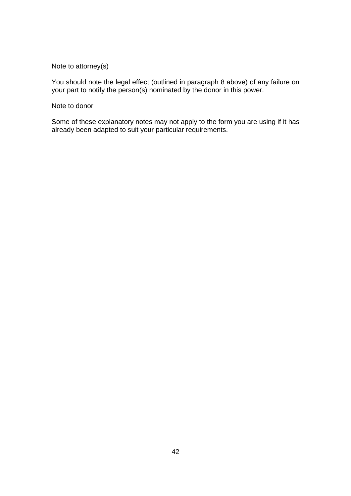Note to attorney(s)

You should note the legal effect (outlined in paragraph 8 above) of any failure on your part to notify the person(s) nominated by the donor in this power.

Note to donor

Some of these explanatory notes may not apply to the form you are using if it has already been adapted to suit your particular requirements.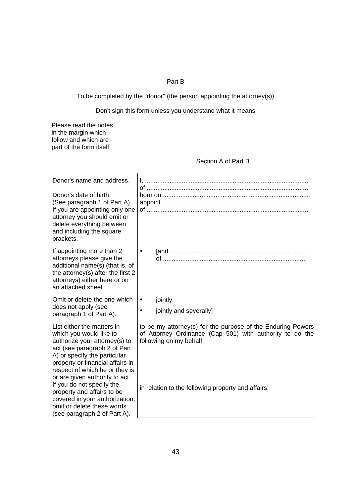## Part B

#### To be completed by the "donor" (the person appointing the attorney(s))

Don't sign this form unless you understand what it means

Please read the notes in the margin which follow and which are part of the form itself.

#### Section A of Part B

| Donor's name and address.                                                                                                                                                                                                    |                                                                                                                                                    |  |  |  |
|------------------------------------------------------------------------------------------------------------------------------------------------------------------------------------------------------------------------------|----------------------------------------------------------------------------------------------------------------------------------------------------|--|--|--|
| Donor's date of birth.<br>(See paragraph 1 of Part A).<br>If you are appointing only one<br>attorney you should omit or<br>delete everything between<br>and including the square<br>brackets.                                |                                                                                                                                                    |  |  |  |
| If appointing more than 2<br>attorneys please give the<br>additional name(s) (that is, of<br>the attorney(s) after the first 2<br>attorneys) either here or on<br>an attached sheet.                                         | $\bullet$                                                                                                                                          |  |  |  |
| Omit or delete the one which                                                                                                                                                                                                 | jointly<br>$\bullet$                                                                                                                               |  |  |  |
| does not apply (see<br>paragraph 1 of Part A).                                                                                                                                                                               | jointly and severally]<br>$\bullet$                                                                                                                |  |  |  |
| List either the matters in<br>which you would like to<br>authorize your attorney(s) to<br>act (see paragraph 2 of Part<br>A) or specify the particular<br>property or financial affairs in<br>respect of which he or they is | to be my attorney(s) for the purpose of the Enduring Powers<br>of Attorney Ordinance (Cap 501) with authority to do the<br>following on my behalf: |  |  |  |
| or are given authority to act.<br>If you do not specify the<br>property and affairs to be<br>covered in your authorization,<br>omit or delete these words<br>(see paragraph 2 of Part A).                                    | in relation to the following property and affairs:                                                                                                 |  |  |  |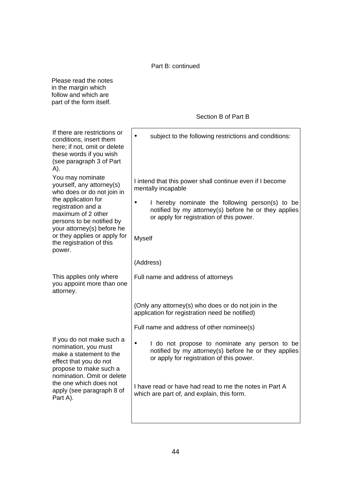#### Part B: continued

Please read the notes in the margin which follow and which are part of the form itself.

#### Section B of Part B

| If there are restrictions or<br>conditions, insert them<br>here; if not, omit or delete<br>these words if you wish<br>(see paragraph 3 of Part<br>A).<br>You may nominate<br>yourself, any attorney(s)<br>who does or do not join in<br>the application for<br>registration and a<br>maximum of 2 other<br>persons to be notified by<br>your attorney(s) before he<br>or they applies or apply for<br>the registration of this<br>power. | subject to the following restrictions and conditions:<br>$\bullet$<br>I intend that this power shall continue even if I become<br>mentally incapable<br>I hereby nominate the following person(s) to be<br>$\bullet$<br>notified by my attorney(s) before he or they applies<br>or apply for registration of this power.<br>Myself<br>(Address) |  |
|------------------------------------------------------------------------------------------------------------------------------------------------------------------------------------------------------------------------------------------------------------------------------------------------------------------------------------------------------------------------------------------------------------------------------------------|-------------------------------------------------------------------------------------------------------------------------------------------------------------------------------------------------------------------------------------------------------------------------------------------------------------------------------------------------|--|
| This applies only where<br>you appoint more than one<br>attorney.                                                                                                                                                                                                                                                                                                                                                                        | Full name and address of attorneys                                                                                                                                                                                                                                                                                                              |  |
|                                                                                                                                                                                                                                                                                                                                                                                                                                          | (Only any attorney(s) who does or do not join in the<br>application for registration need be notified)                                                                                                                                                                                                                                          |  |
|                                                                                                                                                                                                                                                                                                                                                                                                                                          | Full name and address of other nominee(s)                                                                                                                                                                                                                                                                                                       |  |
| If you do not make such a<br>nomination, you must<br>make a statement to the<br>effect that you do not<br>propose to make such a<br>nomination. Omit or delete                                                                                                                                                                                                                                                                           | $\bullet$<br>I do not propose to nominate any person to be<br>notified by my attorney(s) before he or they applies<br>or apply for registration of this power.                                                                                                                                                                                  |  |
| the one which does not<br>apply (see paragraph 8 of<br>Part A).                                                                                                                                                                                                                                                                                                                                                                          | I have read or have had read to me the notes in Part A<br>which are part of, and explain, this form.                                                                                                                                                                                                                                            |  |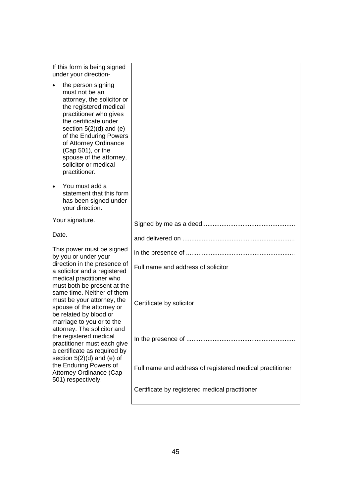If this form is being signed under your direction-

- the person signing must not be an attorney, the solicitor or the registered medical practitioner who gives the certificate under section 5(2)(d) and (e) of the Enduring Powers of Attorney Ordinance (Cap 501), or the spouse of the attorney, solicitor or medical practitioner.
- You must add a statement that this form has been signed under your direction.

Your signature.

Date.

This power must be signed by you or under your direction in the presence of a solicitor and a registered medical practitioner who must both be present at the same time. Neither of them must be your attorney, the spouse of the attorney or be related by blood or marriage to you or to the attorney. The solicitor and the registered medical practitioner must each give a certificate as required by section 5(2)(d) and (e) of the Enduring Powers of Attorney Ordinance (Cap 501) respectively.

| Full name and address of solicitor                       |
|----------------------------------------------------------|
| Certificate by solicitor                                 |
|                                                          |
| Full name and address of registered medical practitioner |
| Certificate by registered medical practitioner           |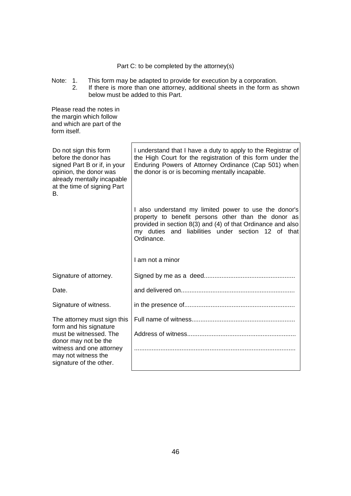Part C: to be completed by the attorney(s)

- Note: 1. This form may be adapted to provide for execution by a corporation.
	- 2. If there is more than one attorney, additional sheets in the form as shown below must be added to this Part.

Please read the notes in the margin which follow and which are part of the form itself.

| Do not sign this form<br>before the donor has<br>signed Part B or if, in your<br>opinion, the donor was<br>already mentally incapable<br>at the time of signing Part<br>В. | I understand that I have a duty to apply to the Registrar of<br>the High Court for the registration of this form under the<br>Enduring Powers of Attorney Ordinance (Cap 501) when<br>the donor is or is becoming mentally incapable.           |  |  |
|----------------------------------------------------------------------------------------------------------------------------------------------------------------------------|-------------------------------------------------------------------------------------------------------------------------------------------------------------------------------------------------------------------------------------------------|--|--|
|                                                                                                                                                                            | I also understand my limited power to use the donor's<br>property to benefit persons other than the donor as<br>provided in section 8(3) and (4) of that Ordinance and also<br>my duties and liabilities under section 12 of that<br>Ordinance. |  |  |
|                                                                                                                                                                            | I am not a minor                                                                                                                                                                                                                                |  |  |
| Signature of attorney.                                                                                                                                                     |                                                                                                                                                                                                                                                 |  |  |
| Date.                                                                                                                                                                      |                                                                                                                                                                                                                                                 |  |  |
| Signature of witness.                                                                                                                                                      |                                                                                                                                                                                                                                                 |  |  |
| The attorney must sign this<br>form and his signature                                                                                                                      |                                                                                                                                                                                                                                                 |  |  |
| must be witnessed. The<br>donor may not be the                                                                                                                             |                                                                                                                                                                                                                                                 |  |  |
| witness and one attorney<br>may not witness the<br>signature of the other.                                                                                                 |                                                                                                                                                                                                                                                 |  |  |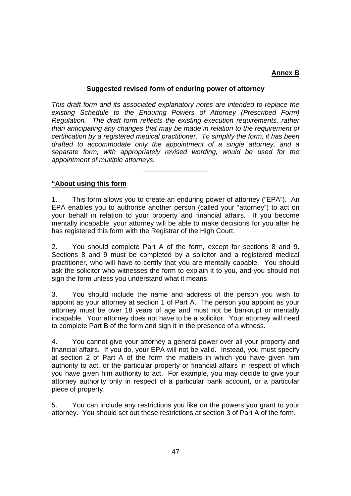## **Annex B**

#### **Suggested revised form of enduring power of attorney**

*This draft form and its associated explanatory notes are intended to replace the existing Schedule to the Enduring Powers of Attorney (Prescribed Form) Regulation. The draft form reflects the existing execution requirements, rather than anticipating any changes that may be made in relation to the requirement of certification by a registered medical practitioner. To simplify the form, it has been drafted to accommodate only the appointment of a single attorney, and a separate form, with appropriately revised wording, would be used for the appointment of multiple attorneys.* 

 $\frac{1}{2}$  ,  $\frac{1}{2}$  ,  $\frac{1}{2}$  ,  $\frac{1}{2}$  ,  $\frac{1}{2}$  ,  $\frac{1}{2}$  ,  $\frac{1}{2}$  ,  $\frac{1}{2}$  ,  $\frac{1}{2}$  ,  $\frac{1}{2}$  ,  $\frac{1}{2}$  ,  $\frac{1}{2}$  ,  $\frac{1}{2}$  ,  $\frac{1}{2}$  ,  $\frac{1}{2}$  ,  $\frac{1}{2}$  ,  $\frac{1}{2}$  ,  $\frac{1}{2}$  ,  $\frac{1$ 

#### **"About using this form**

1. This form allows you to create an enduring power of attorney ("EPA"). An EPA enables you to authorise another person (called your "attorney") to act on your behalf in relation to your property and financial affairs. If you become mentally incapable, your attorney will be able to make decisions for you after he has registered this form with the Registrar of the High Court.

2. You should complete Part A of the form, except for sections 8 and 9. Sections 8 and 9 must be completed by a solicitor and a registered medical practitioner, who will have to certify that you are mentally capable. You should ask the solicitor who witnesses the form to explain it to you, and you should not sign the form unless you understand what it means.

3. You should include the name and address of the person you wish to appoint as your attorney at section 1 of Part A. The person you appoint as your attorney must be over 18 years of age and must not be bankrupt or mentally incapable. Your attorney does not have to be a solicitor. Your attorney will need to complete Part B of the form and sign it in the presence of a witness.

4. You cannot give your attorney a general power over all your property and financial affairs. If you do, your EPA will not be valid. Instead, you must specify at section 2 of Part A of the form the matters in which you have given him authority to act, or the particular property or financial affairs in respect of which you have given him authority to act. For example, you may decide to give your attorney authority only in respect of a particular bank account, or a particular piece of property.

5. You can include any restrictions you like on the powers you grant to your attorney. You should set out these restrictions at section 3 of Part A of the form.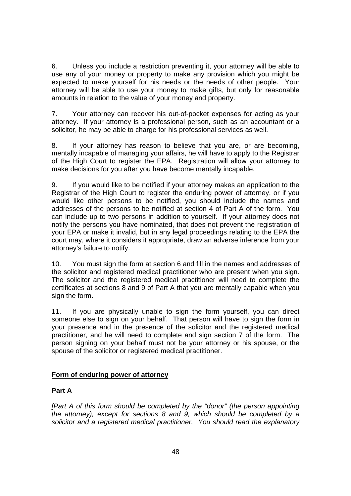6. Unless you include a restriction preventing it, your attorney will be able to use any of your money or property to make any provision which you might be expected to make yourself for his needs or the needs of other people. Your attorney will be able to use your money to make gifts, but only for reasonable amounts in relation to the value of your money and property.

7. Your attorney can recover his out-of-pocket expenses for acting as your attorney. If your attorney is a professional person, such as an accountant or a solicitor, he may be able to charge for his professional services as well.

8. If your attorney has reason to believe that you are, or are becoming, mentally incapable of managing your affairs, he will have to apply to the Registrar of the High Court to register the EPA. Registration will allow your attorney to make decisions for you after you have become mentally incapable.

9. If you would like to be notified if your attorney makes an application to the Registrar of the High Court to register the enduring power of attorney, or if you would like other persons to be notified, you should include the names and addresses of the persons to be notified at section 4 of Part A of the form. You can include up to two persons in addition to yourself. If your attorney does not notify the persons you have nominated, that does not prevent the registration of your EPA or make it invalid, but in any legal proceedings relating to the EPA the court may, where it considers it appropriate, draw an adverse inference from your attorney's failure to notify.

10. You must sign the form at section 6 and fill in the names and addresses of the solicitor and registered medical practitioner who are present when you sign. The solicitor and the registered medical practitioner will need to complete the certificates at sections 8 and 9 of Part A that you are mentally capable when you sign the form.

11. If you are physically unable to sign the form yourself, you can direct someone else to sign on your behalf. That person will have to sign the form in your presence and in the presence of the solicitor and the registered medical practitioner, and he will need to complete and sign section 7 of the form. The person signing on your behalf must not be your attorney or his spouse, or the spouse of the solicitor or registered medical practitioner.

## **Form of enduring power of attorney**

## **Part A**

*[Part A of this form should be completed by the "donor" (the person appointing the attorney), except for sections 8 and 9, which should be completed by a solicitor and a registered medical practitioner. You should read the explanatory*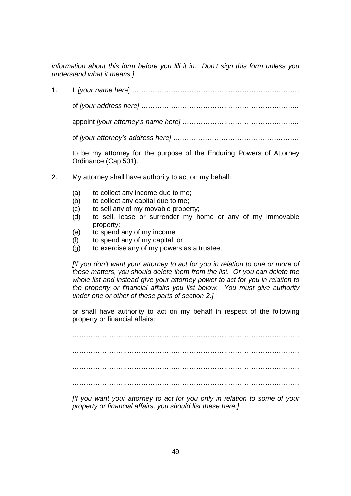*information about this form before you fill it in. Don't sign this form unless you understand what it means.]* 

1. I, *[your name her*e] ……………………………………………………………….

of *[your address here]* …………………………………………………………...

appoint *[your attorney's name here]* …………………………………………...

of *[your attorney's address here]* ……………………………………………….

 to be my attorney for the purpose of the Enduring Powers of Attorney Ordinance (Cap 501).

- 2. My attorney shall have authority to act on my behalf:
	- (a) to collect any income due to me;
	- (b) to collect any capital due to me;
	- (c) to sell any of my movable property;
	- (d) to sell, lease or surrender my home or any of my immovable property;
	- (e) to spend any of my income;
	- (f) to spend any of my capital; or
	- (g) to exercise any of my powers as a trustee,

*[If you don't want your attorney to act for you in relation to one or more of these matters, you should delete them from the list. Or you can delete the whole list and instead give your attorney power to act for you in relation to the property or financial affairs you list below. You must give authority under one or other of these parts of section 2.]* 

 or shall have authority to act on my behalf in respect of the following property or financial affairs:

 ……………………………………………………………………………………… ……………………………………………………………………………………… ……………………………………………………………………………………… ………………………………………………………………………………………

*[If you want your attorney to act for you only in relation to some of your property or financial affairs, you should list these here.]*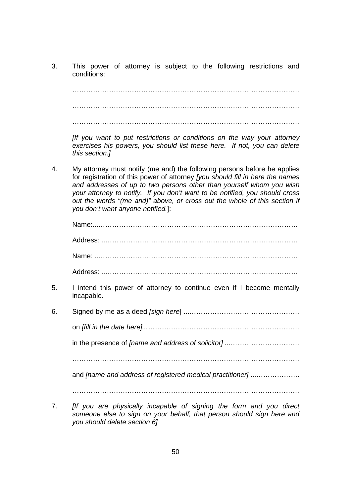3. This power of attorney is subject to the following restrictions and conditions:

 ……………………………………………………………………………………… ……………………………………………………………………………………… ………………………………………………………………………………………

*[If you want to put restrictions or conditions on the way your attorney exercises his powers, you should list these here. If not, you can delete this section.]* 

4. My attorney must notify (me and) the following persons before he applies for registration of this power of attorney *[you should fill in here the names and addresses of up to two persons other than yourself whom you wish your attorney to notify. If you don't want to be notified, you should cross out the words "(me and)" above, or cross out the whole of this section if you don't want anyone notified.*]:

- 5. I intend this power of attorney to continue even if I become mentally incapable.
- 6. Signed by me as a deed *[sign here*] ...…………………………………………

on *[fill in the date here]...*…………………………………………………………

in the presence of *[name and address of solicitor] ...…*………………………

and *[name and address of registered medical practitioner]* ...……………….

………………………………………………………………………………………

7. *[If you are physically incapable of signing the form and you direct someone else to sign on your behalf, that person should sign here and you should delete section 6]*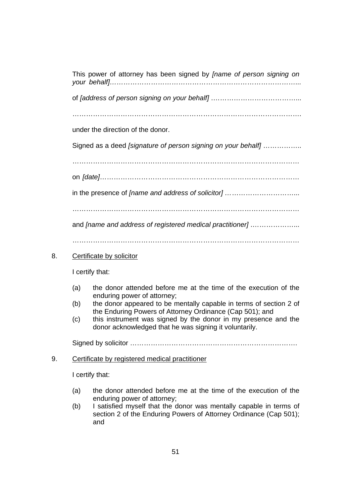This power of attorney has been signed by *[name of person signing on your behalf]………………………………………………………………………...* 

of *[address of person signing on your behalf]* .………………………………...

……………………………………………………………………………………….

under the direction of the donor.

Signed as a deed *[signature of person signing on your behalf]* ……………..

……………………………………………………………………………………… on *[date]*……………………………………………………………………………

in the presence of *[name and address of solicitor] …*………………………...

………………………………………………………………………………………

and *[name and address of registered medical practitioner]* .………………...

………………………………………………………………………………………

## 8. Certificate by solicitor

I certify that:

- (a) the donor attended before me at the time of the execution of the enduring power of attorney;
- (b) the donor appeared to be mentally capable in terms of section 2 of the Enduring Powers of Attorney Ordinance (Cap 501); and
- (c) this instrument was signed by the donor in my presence and the donor acknowledged that he was signing it voluntarily.

Signed by solicitor ……………………………………………………………….

#### 9. Certificate by registered medical practitioner

I certify that:

- (a) the donor attended before me at the time of the execution of the enduring power of attorney;
- (b) I satisfied myself that the donor was mentally capable in terms of section 2 of the Enduring Powers of Attorney Ordinance (Cap 501); and